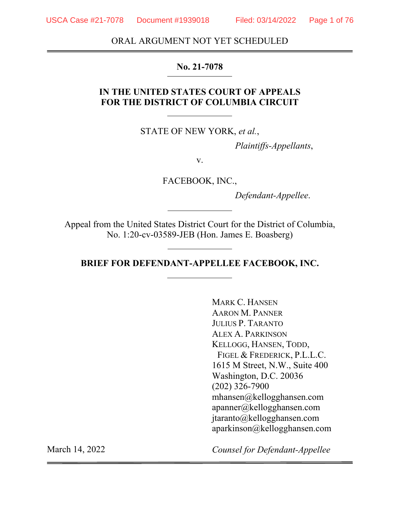USCA Case #21-7078 Document #1939018 Filed: 03/14/2022 Page 1 of 76

ORAL ARGUMENT NOT YET SCHEDULED

#### **No. 21-7078**

#### **IN THE UNITED STATES COURT OF APPEALS FOR THE DISTRICT OF COLUMBIA CIRCUIT**

STATE OF NEW YORK, *et al.*,

 *Plaintiffs-Appellants*,

v.

FACEBOOK, INC.,

 *Defendant-Appellee*.

Appeal from the United States District Court for the District of Columbia, No. 1:20-cv-03589-JEB (Hon. James E. Boasberg)

**BRIEF FOR DEFENDANT-APPELLEE FACEBOOK, INC.** 

MARK C. HANSEN AARON M. PANNER JULIUS P. TARANTO ALEX A. PARKINSON KELLOGG, HANSEN, TODD, FIGEL & FREDERICK, P.L.L.C. 1615 M Street, N.W., Suite 400 Washington, D.C. 20036 (202) 326-7900 mhansen@kellogghansen.com apanner@kellogghansen.com jtaranto@kellogghansen.com aparkinson@kellogghansen.com

*Counsel for Defendant-Appellee*

March 14, 2022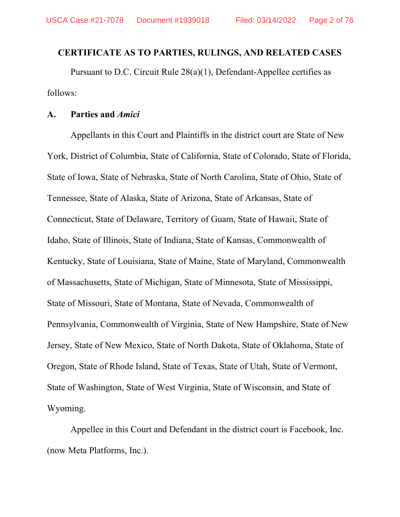#### **CERTIFICATE AS TO PARTIES, RULINGS, AND RELATED CASES**

Pursuant to D.C. Circuit Rule 28(a)(1), Defendant-Appellee certifies as follows:

#### **A. Parties and** *Amici*

Appellants in this Court and Plaintiffs in the district court are State of New York, District of Columbia, State of California, State of Colorado, State of Florida, State of Iowa, State of Nebraska, State of North Carolina, State of Ohio, State of Tennessee, State of Alaska, State of Arizona, State of Arkansas, State of Connecticut, State of Delaware, Territory of Guam, State of Hawaii, State of Idaho, State of Illinois, State of Indiana, State of Kansas, Commonwealth of Kentucky, State of Louisiana, State of Maine, State of Maryland, Commonwealth of Massachusetts, State of Michigan, State of Minnesota, State of Mississippi, State of Missouri, State of Montana, State of Nevada, Commonwealth of Pennsylvania, Commonwealth of Virginia, State of New Hampshire, State of New Jersey, State of New Mexico, State of North Dakota, State of Oklahoma, State of Oregon, State of Rhode Island, State of Texas, State of Utah, State of Vermont, State of Washington, State of West Virginia, State of Wisconsin, and State of Wyoming.

Appellee in this Court and Defendant in the district court is Facebook, Inc. (now Meta Platforms, Inc.).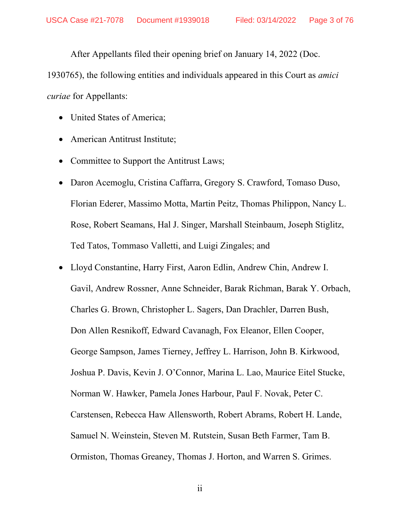After Appellants filed their opening brief on January 14, 2022 (Doc.

1930765), the following entities and individuals appeared in this Court as *amici curiae* for Appellants:

- United States of America;
- American Antitrust Institute;
- Committee to Support the Antitrust Laws;
- Daron Acemoglu, Cristina Caffarra, Gregory S. Crawford, Tomaso Duso, Florian Ederer, Massimo Motta, Martin Peitz, Thomas Philippon, Nancy L. Rose, Robert Seamans, Hal J. Singer, Marshall Steinbaum, Joseph Stiglitz, Ted Tatos, Tommaso Valletti, and Luigi Zingales; and
- Lloyd Constantine, Harry First, Aaron Edlin, Andrew Chin, Andrew I. Gavil, Andrew Rossner, Anne Schneider, Barak Richman, Barak Y. Orbach, Charles G. Brown, Christopher L. Sagers, Dan Drachler, Darren Bush, Don Allen Resnikoff, Edward Cavanagh, Fox Eleanor, Ellen Cooper, George Sampson, James Tierney, Jeffrey L. Harrison, John B. Kirkwood, Joshua P. Davis, Kevin J. O'Connor, Marina L. Lao, Maurice Eitel Stucke, Norman W. Hawker, Pamela Jones Harbour, Paul F. Novak, Peter C. Carstensen, Rebecca Haw Allensworth, Robert Abrams, Robert H. Lande, Samuel N. Weinstein, Steven M. Rutstein, Susan Beth Farmer, Tam B. Ormiston, Thomas Greaney, Thomas J. Horton, and Warren S. Grimes.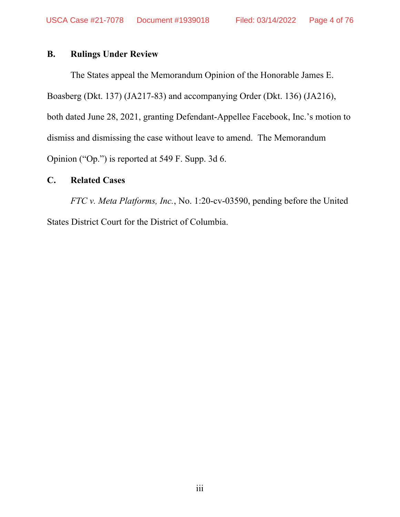#### **B. Rulings Under Review**

The States appeal the Memorandum Opinion of the Honorable James E. Boasberg (Dkt. 137) (JA217-83) and accompanying Order (Dkt. 136) (JA216), both dated June 28, 2021, granting Defendant-Appellee Facebook, Inc.'s motion to dismiss and dismissing the case without leave to amend. The Memorandum Opinion ("Op.") is reported at 549 F. Supp. 3d 6.

#### **C. Related Cases**

*FTC v. Meta Platforms, Inc.*, No. 1:20-cv-03590, pending before the United States District Court for the District of Columbia.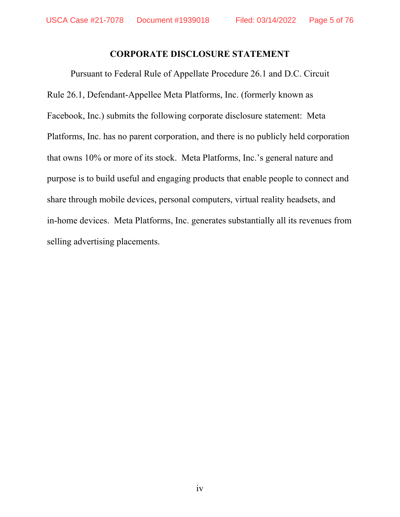#### **CORPORATE DISCLOSURE STATEMENT**

Pursuant to Federal Rule of Appellate Procedure 26.1 and D.C. Circuit Rule 26.1, Defendant-Appellee Meta Platforms, Inc. (formerly known as Facebook, Inc.) submits the following corporate disclosure statement: Meta Platforms, Inc. has no parent corporation, and there is no publicly held corporation that owns 10% or more of its stock. Meta Platforms, Inc.'s general nature and purpose is to build useful and engaging products that enable people to connect and share through mobile devices, personal computers, virtual reality headsets, and in-home devices. Meta Platforms, Inc. generates substantially all its revenues from selling advertising placements.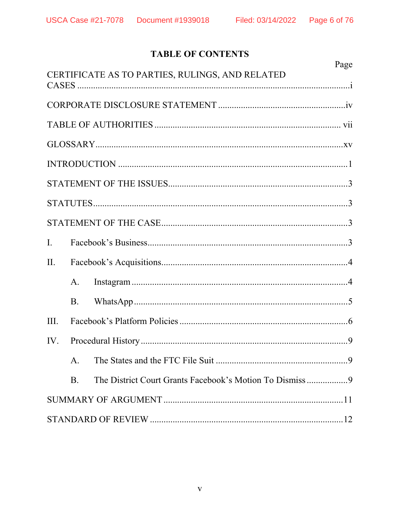## **TABLE OF CONTENTS**

|                |           | Page                                            |
|----------------|-----------|-------------------------------------------------|
|                |           | CERTIFICATE AS TO PARTIES, RULINGS, AND RELATED |
|                |           |                                                 |
|                |           |                                                 |
|                |           |                                                 |
|                |           |                                                 |
|                |           |                                                 |
|                |           |                                                 |
|                |           |                                                 |
| $\mathbf{I}$ . |           |                                                 |
| II.            |           |                                                 |
|                | A.        |                                                 |
|                | <b>B.</b> |                                                 |
| III.           |           |                                                 |
| IV.            |           |                                                 |
|                | A.        |                                                 |
|                | <b>B.</b> |                                                 |
|                |           |                                                 |
|                |           |                                                 |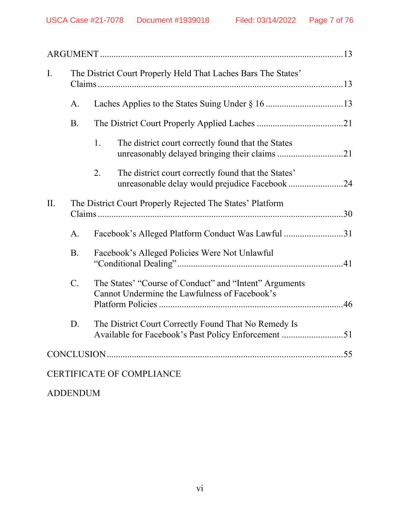| I.  |                 | The District Court Properly Held That Laches Bars The States'                                               |
|-----|-----------------|-------------------------------------------------------------------------------------------------------------|
|     | A.              |                                                                                                             |
|     | <b>B.</b>       |                                                                                                             |
|     |                 | The district court correctly found that the States<br>1.                                                    |
|     |                 | The district court correctly found that the States'<br>2.<br>unreasonable delay would prejudice Facebook 24 |
| II. |                 | The District Court Properly Rejected The States' Platform                                                   |
|     | A.              | Facebook's Alleged Platform Conduct Was Lawful 31                                                           |
|     | <b>B.</b>       | Facebook's Alleged Policies Were Not Unlawful                                                               |
|     | $\mathcal{C}$ . | The States' "Course of Conduct" and "Intent" Arguments<br>Cannot Undermine the Lawfulness of Facebook's     |
|     | D.              | The District Court Correctly Found That No Remedy Is<br>Available for Facebook's Past Policy Enforcement 51 |
|     |                 |                                                                                                             |
|     |                 | <b>CERTIFICATE OF COMPLIANCE</b>                                                                            |
|     |                 |                                                                                                             |

ADDENDUM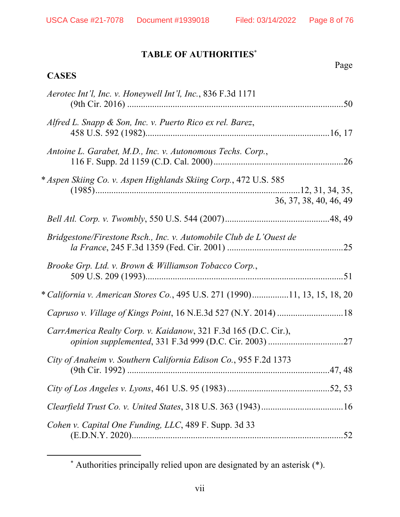Page

# **TABLE OF AUTHORITIES**\*

| Aerotec Int'l, Inc. v. Honeywell Int'l, Inc., 836 F.3d 1171                                |
|--------------------------------------------------------------------------------------------|
| Alfred L. Snapp & Son, Inc. v. Puerto Rico ex rel. Barez,                                  |
| Antoine L. Garabet, M.D., Inc. v. Autonomous Techs. Corp.,                                 |
| * Aspen Skiing Co. v. Aspen Highlands Skiing Corp., 472 U.S. 585<br>36, 37, 38, 40, 46, 49 |
|                                                                                            |
| Bridgestone/Firestone Rsch., Inc. v. Automobile Club de L'Ouest de                         |
| Brooke Grp. Ltd. v. Brown & Williamson Tobacco Corp.,                                      |
| * California v. American Stores Co., 495 U.S. 271 (1990)11, 13, 15, 18, 20                 |
|                                                                                            |
| CarrAmerica Realty Corp. v. Kaidanow, 321 F.3d 165 (D.C. Cir.),                            |
| City of Anaheim v. Southern California Edison Co., 955 F.2d 1373                           |
|                                                                                            |
|                                                                                            |
| Cohen v. Capital One Funding, LLC, 489 F. Supp. 3d 33                                      |
|                                                                                            |

 <sup>\*</sup> Authorities principally relied upon are designated by an asterisk (\*).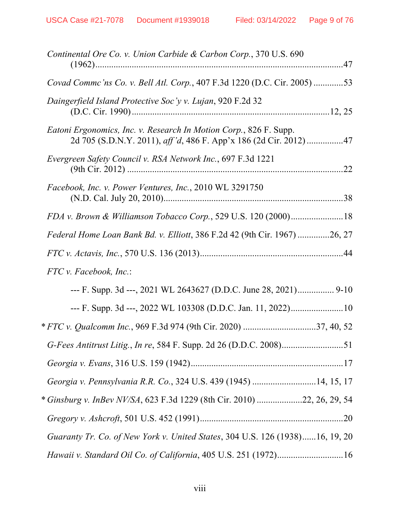| Continental Ore Co. v. Union Carbide & Carbon Corp., 370 U.S. 690                                                                      |
|----------------------------------------------------------------------------------------------------------------------------------------|
| Covad Commc'ns Co. v. Bell Atl. Corp., 407 F.3d 1220 (D.C. Cir. 2005) 53                                                               |
| Daingerfield Island Protective Soc'y v. Lujan, 920 F.2d 32                                                                             |
| Eatoni Ergonomics, Inc. v. Research In Motion Corp., 826 F. Supp.<br>2d 705 (S.D.N.Y. 2011), aff'd, 486 F. App'x 186 (2d Cir. 2012) 47 |
| Evergreen Safety Council v. RSA Network Inc., 697 F.3d 1221                                                                            |
| Facebook, Inc. v. Power Ventures, Inc., 2010 WL 3291750                                                                                |
| FDA v. Brown & Williamson Tobacco Corp., 529 U.S. 120 (2000)18                                                                         |
| Federal Home Loan Bank Bd. v. Elliott, 386 F.2d 42 (9th Cir. 1967) 26, 27                                                              |
|                                                                                                                                        |
| $FTC$ v. Facebook, Inc.:                                                                                                               |
|                                                                                                                                        |
| --- F. Supp. 3d ---, 2022 WL 103308 (D.D.C. Jan. 11, 2022)10                                                                           |
|                                                                                                                                        |
|                                                                                                                                        |
|                                                                                                                                        |
| Georgia v. Pennsylvania R.R. Co., 324 U.S. 439 (1945) 14, 15, 17                                                                       |
| * Ginsburg v. InBev NV/SA, 623 F.3d 1229 (8th Cir. 2010) 22, 26, 29, 54                                                                |
|                                                                                                                                        |
| Guaranty Tr. Co. of New York v. United States, 304 U.S. 126 (1938)16, 19, 20                                                           |
| Hawaii v. Standard Oil Co. of California, 405 U.S. 251 (1972)16                                                                        |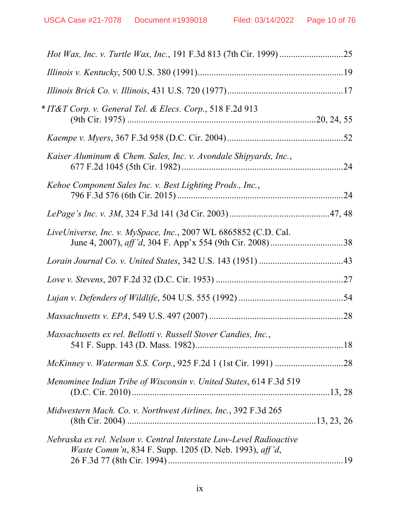| * IT&T Corp. v. General Tel. & Elecs. Corp., 518 F.2d 913                                                                     |  |
|-------------------------------------------------------------------------------------------------------------------------------|--|
|                                                                                                                               |  |
| Kaiser Aluminum & Chem. Sales, Inc. v. Avondale Shipyards, Inc.,                                                              |  |
| Kehoe Component Sales Inc. v. Best Lighting Prods., Inc.,                                                                     |  |
|                                                                                                                               |  |
| LiveUniverse, Inc. v. MySpace, Inc., 2007 WL 6865852 (C.D. Cal.                                                               |  |
|                                                                                                                               |  |
|                                                                                                                               |  |
|                                                                                                                               |  |
|                                                                                                                               |  |
| Massachusetts ex rel. Bellotti v. Russell Stover Candies, Inc.,                                                               |  |
|                                                                                                                               |  |
| Menominee Indian Tribe of Wisconsin v. United States, 614 F.3d 519                                                            |  |
| Midwestern Mach. Co. v. Northwest Airlines, Inc., 392 F.3d 265                                                                |  |
| Nebraska ex rel. Nelson v. Central Interstate Low-Level Radioactive<br>Waste Comm'n, 834 F. Supp. 1205 (D. Neb. 1993), aff'd, |  |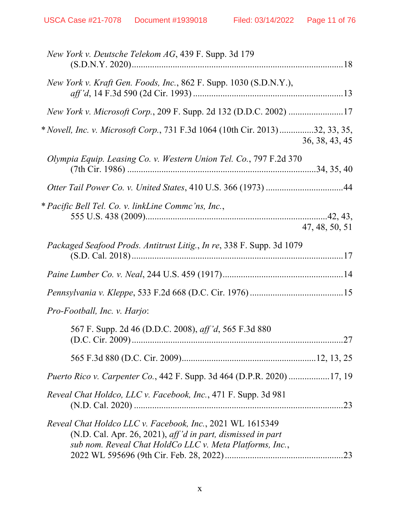| New York v. Deutsche Telekom AG, 439 F. Supp. 3d 179                                                                                                                                 |                |
|--------------------------------------------------------------------------------------------------------------------------------------------------------------------------------------|----------------|
| New York v. Kraft Gen. Foods, Inc., 862 F. Supp. 1030 (S.D.N.Y.),                                                                                                                    |                |
| New York v. Microsoft Corp., 209 F. Supp. 2d 132 (D.D.C. 2002) 17                                                                                                                    |                |
| * Novell, Inc. v. Microsoft Corp., 731 F.3d 1064 (10th Cir. 2013)32, 33, 35,                                                                                                         | 36, 38, 43, 45 |
| Olympia Equip. Leasing Co. v. Western Union Tel. Co., 797 F.2d 370                                                                                                                   |                |
|                                                                                                                                                                                      |                |
| * Pacific Bell Tel. Co. v. linkLine Commc'ns, Inc.,                                                                                                                                  | 47, 48, 50, 51 |
| Packaged Seafood Prods. Antitrust Litig., In re, 338 F. Supp. 3d 1079                                                                                                                |                |
|                                                                                                                                                                                      |                |
|                                                                                                                                                                                      |                |
| Pro-Football, Inc. v. Harjo:                                                                                                                                                         |                |
| 567 F. Supp. 2d 46 (D.D.C. 2008), aff'd, 565 F.3d 880                                                                                                                                | .27            |
|                                                                                                                                                                                      |                |
| <i>Puerto Rico v. Carpenter Co.</i> , 442 F. Supp. 3d 464 (D.P.R. 2020) 17, 19                                                                                                       |                |
| Reveal Chat Holdco, LLC v. Facebook, Inc., 471 F. Supp. 3d 981                                                                                                                       | .23            |
| Reveal Chat Holdco LLC v. Facebook, Inc., 2021 WL 1615349<br>(N.D. Cal. Apr. 26, 2021), aff'd in part, dismissed in part<br>sub nom. Reveal Chat HoldCo LLC v. Meta Platforms, Inc., | .23            |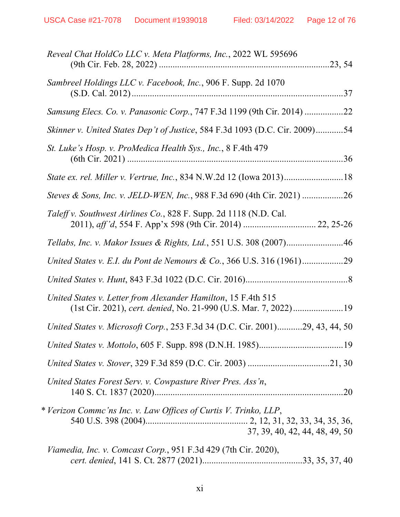| Reveal Chat HoldCo LLC v. Meta Platforms, Inc., 2022 WL 595696                                                                   |
|----------------------------------------------------------------------------------------------------------------------------------|
| Sambreel Holdings LLC v. Facebook, Inc., 906 F. Supp. 2d 1070                                                                    |
| Samsung Elecs. Co. v. Panasonic Corp., 747 F.3d 1199 (9th Cir. 2014) 22                                                          |
| Skinner v. United States Dep't of Justice, 584 F.3d 1093 (D.C. Cir. 2009)54                                                      |
| St. Luke's Hosp. v. ProMedica Health Sys., Inc., 8 F.4th 479                                                                     |
| State ex. rel. Miller v. Vertrue, Inc., 834 N.W.2d 12 (Iowa 2013)18                                                              |
| Steves & Sons, Inc. v. JELD-WEN, Inc., 988 F.3d 690 (4th Cir. 2021) 26                                                           |
| Taleff v. Southwest Airlines Co., 828 F. Supp. 2d 1118 (N.D. Cal.<br>2011), aff'd, 554 F. App'x 598 (9th Cir. 2014)  22, 25-26   |
| Tellabs, Inc. v. Makor Issues & Rights, Ltd., 551 U.S. 308 (2007)46                                                              |
| United States v. E.I. du Pont de Nemours & Co., 366 U.S. 316 (1961)29                                                            |
|                                                                                                                                  |
| United States v. Letter from Alexander Hamilton, 15 F.4th 515<br>(1st Cir. 2021), cert. denied, No. 21-990 (U.S. Mar. 7, 2022)19 |
| United States v. Microsoft Corp., 253 F.3d 34 (D.C. Cir. 2001)29, 43, 44, 50                                                     |
|                                                                                                                                  |
|                                                                                                                                  |
| United States Forest Serv. v. Cowpasture River Pres. Ass'n,                                                                      |
| * Verizon Commc'ns Inc. v. Law Offices of Curtis V. Trinko, LLP,<br>37, 39, 40, 42, 44, 48, 49, 50                               |
| <i>Viamedia, Inc. v. Comcast Corp.</i> , 951 F.3d 429 (7th Cir. 2020),                                                           |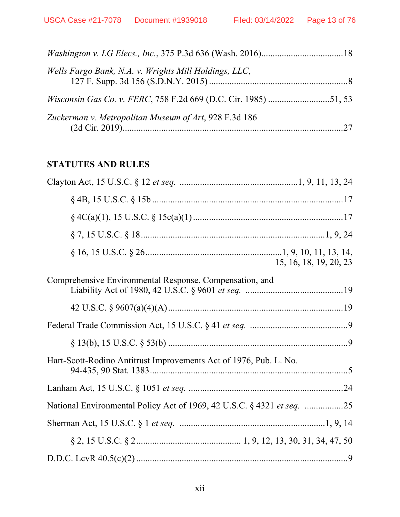| Wells Fargo Bank, N.A. v. Wrights Mill Holdings, LLC,                  |  |
|------------------------------------------------------------------------|--|
| <i>Wisconsin Gas Co. v. FERC, 758 F.2d 669 (D.C. Cir. 1985) 51, 53</i> |  |
| Zuckerman v. Metropolitan Museum of Art, 928 F.3d 186                  |  |

## **STATUTES AND RULES**

| 15, 16, 18, 19, 20, 23                                                 |
|------------------------------------------------------------------------|
| Comprehensive Environmental Response, Compensation, and                |
|                                                                        |
|                                                                        |
|                                                                        |
| Hart-Scott-Rodino Antitrust Improvements Act of 1976, Pub. L. No.      |
|                                                                        |
| National Environmental Policy Act of 1969, 42 U.S.C. § 4321 et seq. 25 |
|                                                                        |
|                                                                        |
|                                                                        |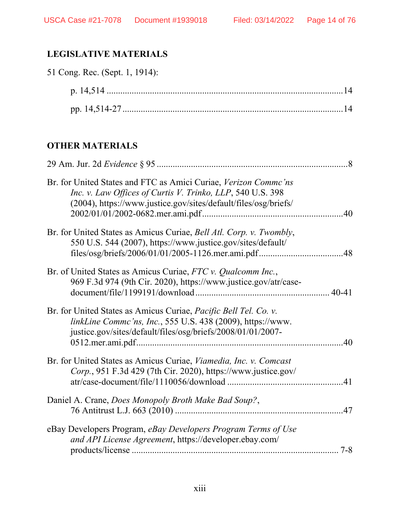## **LEGISLATIVE MATERIALS**

| 51 Cong. Rec. (Sept. 1, 1914): |  |
|--------------------------------|--|
|                                |  |
|                                |  |

## **OTHER MATERIALS**

| Br. for United States and FTC as Amici Curiae, Verizon Commc'ns<br>Inc. v. Law Offices of Curtis V. Trinko, LLP, 540 U.S. 398<br>(2004), https://www.justice.gov/sites/default/files/osg/briefs/ |  |
|--------------------------------------------------------------------------------------------------------------------------------------------------------------------------------------------------|--|
| Br. for United States as Amicus Curiae, Bell Atl. Corp. v. Twombly,<br>550 U.S. 544 (2007), https://www.justice.gov/sites/default/                                                               |  |
| Br. of United States as Amicus Curiae, FTC v. Qualcomm Inc.,<br>969 F.3d 974 (9th Cir. 2020), https://www.justice.gov/atr/case-                                                                  |  |
| Br. for United States as Amicus Curiae, Pacific Bell Tel. Co. v.<br>linkLine Commc'ns, Inc., 555 U.S. 438 (2009), https://www.<br>justice.gov/sites/default/files/osg/briefs/2008/01/01/2007-    |  |
| Br. for United States as Amicus Curiae, Viamedia, Inc. v. Comcast<br>Corp., 951 F.3d 429 (7th Cir. 2020), https://www.justice.gov/                                                               |  |
| Daniel A. Crane, Does Monopoly Broth Make Bad Soup?,                                                                                                                                             |  |
| eBay Developers Program, eBay Developers Program Terms of Use<br>and API License Agreement, https://developer.ebay.com/                                                                          |  |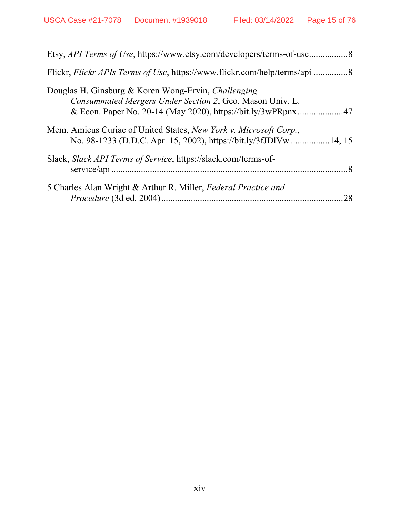| Etsy, API Terms of Use, https://www.etsy.com/developers/terms-of-use8                                                                                                           |
|---------------------------------------------------------------------------------------------------------------------------------------------------------------------------------|
| Flickr, Flickr APIs Terms of Use, https://www.flickr.com/help/terms/api 8                                                                                                       |
| Douglas H. Ginsburg & Koren Wong-Ervin, Challenging<br>Consummated Mergers Under Section 2, Geo. Mason Univ. L.<br>& Econ. Paper No. 20-14 (May 2020), https://bit.ly/3wPRpnx47 |
| Mem. Amicus Curiae of United States, New York v. Microsoft Corp.,<br>No. 98-1233 (D.D.C. Apr. 15, 2002), https://bit.ly/3fJDlVw14, 15                                           |
| Slack, Slack API Terms of Service, https://slack.com/terms-of-                                                                                                                  |
| 5 Charles Alan Wright & Arthur R. Miller, Federal Practice and<br>28                                                                                                            |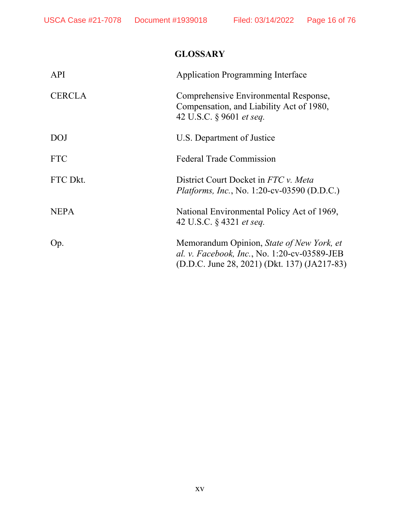## **GLOSSARY**

| <b>API</b>    | <b>Application Programming Interface</b>                                                                                                  |
|---------------|-------------------------------------------------------------------------------------------------------------------------------------------|
| <b>CERCLA</b> | Comprehensive Environmental Response,<br>Compensation, and Liability Act of 1980,<br>42 U.S.C. § 9601 et seq.                             |
| <b>DOJ</b>    | U.S. Department of Justice                                                                                                                |
| <b>FTC</b>    | <b>Federal Trade Commission</b>                                                                                                           |
| FTC Dkt.      | District Court Docket in FTC v. Meta<br><i>Platforms, Inc., No. 1:20-cv-03590 (D.D.C.)</i>                                                |
| <b>NEPA</b>   | National Environmental Policy Act of 1969,<br>42 U.S.C. § 4321 et seq.                                                                    |
| Op.           | Memorandum Opinion, State of New York, et<br>al. v. Facebook, Inc., No. 1:20-cv-03589-JEB<br>(D.D.C. June 28, 2021) (Dkt. 137) (JA217-83) |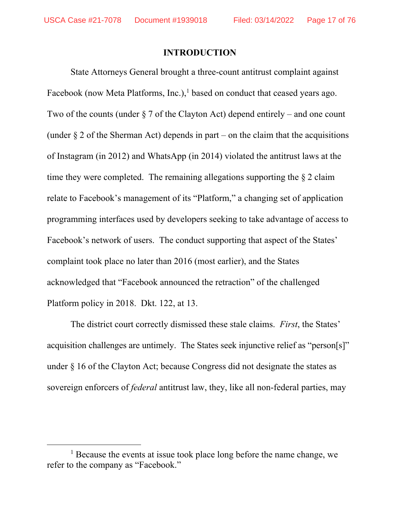#### **INTRODUCTION**

State Attorneys General brought a three-count antitrust complaint against Facebook (now Meta Platforms, Inc.), $\frac{1}{1}$  based on conduct that ceased years ago. Two of the counts (under  $\S 7$  of the Clayton Act) depend entirely – and one count (under  $\S 2$  of the Sherman Act) depends in part – on the claim that the acquisitions of Instagram (in 2012) and WhatsApp (in 2014) violated the antitrust laws at the time they were completed. The remaining allegations supporting the  $\S 2$  claim relate to Facebook's management of its "Platform," a changing set of application programming interfaces used by developers seeking to take advantage of access to Facebook's network of users. The conduct supporting that aspect of the States' complaint took place no later than 2016 (most earlier), and the States acknowledged that "Facebook announced the retraction" of the challenged Platform policy in 2018. Dkt. 122, at 13.

The district court correctly dismissed these stale claims. *First*, the States' acquisition challenges are untimely. The States seek injunctive relief as "person[s]" under § 16 of the Clayton Act; because Congress did not designate the states as sovereign enforcers of *federal* antitrust law, they, like all non-federal parties, may

 $\begin{array}{c}\n\hline\n\end{array}$  $<sup>1</sup>$  Because the events at issue took place long before the name change, we</sup> refer to the company as "Facebook."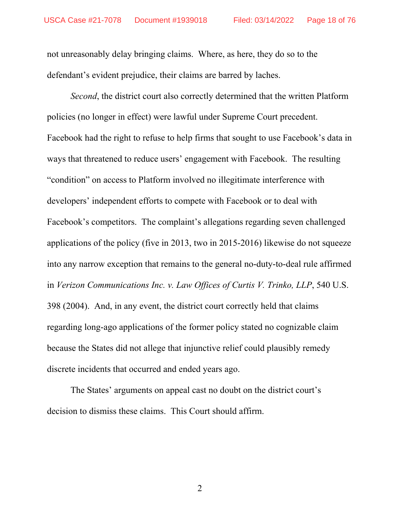not unreasonably delay bringing claims. Where, as here, they do so to the defendant's evident prejudice, their claims are barred by laches.

*Second*, the district court also correctly determined that the written Platform policies (no longer in effect) were lawful under Supreme Court precedent. Facebook had the right to refuse to help firms that sought to use Facebook's data in ways that threatened to reduce users' engagement with Facebook. The resulting "condition" on access to Platform involved no illegitimate interference with developers' independent efforts to compete with Facebook or to deal with Facebook's competitors. The complaint's allegations regarding seven challenged applications of the policy (five in 2013, two in 2015-2016) likewise do not squeeze into any narrow exception that remains to the general no-duty-to-deal rule affirmed in *Verizon Communications Inc. v. Law Offices of Curtis V. Trinko, LLP*, 540 U.S. 398 (2004). And, in any event, the district court correctly held that claims regarding long-ago applications of the former policy stated no cognizable claim because the States did not allege that injunctive relief could plausibly remedy discrete incidents that occurred and ended years ago.

The States' arguments on appeal cast no doubt on the district court's decision to dismiss these claims. This Court should affirm.

2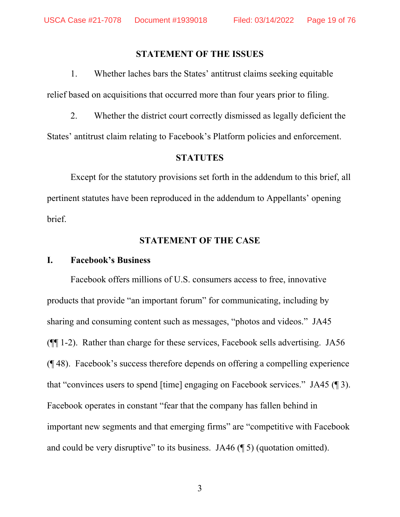#### **STATEMENT OF THE ISSUES**

1. Whether laches bars the States' antitrust claims seeking equitable relief based on acquisitions that occurred more than four years prior to filing.

2. Whether the district court correctly dismissed as legally deficient the States' antitrust claim relating to Facebook's Platform policies and enforcement.

#### **STATUTES**

 Except for the statutory provisions set forth in the addendum to this brief, all pertinent statutes have been reproduced in the addendum to Appellants' opening brief.

#### **STATEMENT OF THE CASE**

#### **I. Facebook's Business**

Facebook offers millions of U.S. consumers access to free, innovative products that provide "an important forum" for communicating, including by sharing and consuming content such as messages, "photos and videos." JA45 (¶¶ 1-2). Rather than charge for these services, Facebook sells advertising. JA56 (¶ 48). Facebook's success therefore depends on offering a compelling experience that "convinces users to spend [time] engaging on Facebook services." JA45 (¶ 3). Facebook operates in constant "fear that the company has fallen behind in important new segments and that emerging firms" are "competitive with Facebook and could be very disruptive" to its business. JA46 (¶ 5) (quotation omitted).

3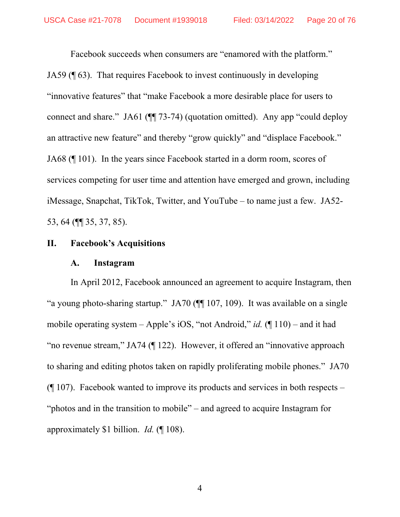Facebook succeeds when consumers are "enamored with the platform." JA59 (¶ 63). That requires Facebook to invest continuously in developing "innovative features" that "make Facebook a more desirable place for users to connect and share." JA61 (¶¶ 73-74) (quotation omitted). Any app "could deploy an attractive new feature" and thereby "grow quickly" and "displace Facebook." JA68 (¶ 101). In the years since Facebook started in a dorm room, scores of services competing for user time and attention have emerged and grown, including iMessage, Snapchat, TikTok, Twitter, and YouTube – to name just a few. JA52- 53, 64 (¶¶ 35, 37, 85).

## **II. Facebook's Acquisitions**

#### **A. Instagram**

In April 2012, Facebook announced an agreement to acquire Instagram, then "a young photo-sharing startup." JA70 (¶¶ 107, 109). It was available on a single mobile operating system – Apple's iOS, "not Android," *id.* (¶ 110) – and it had "no revenue stream," JA74 (¶ 122). However, it offered an "innovative approach to sharing and editing photos taken on rapidly proliferating mobile phones." JA70  $($ | 107). Facebook wanted to improve its products and services in both respects – "photos and in the transition to mobile" – and agreed to acquire Instagram for approximately \$1 billion. *Id.* (¶ 108).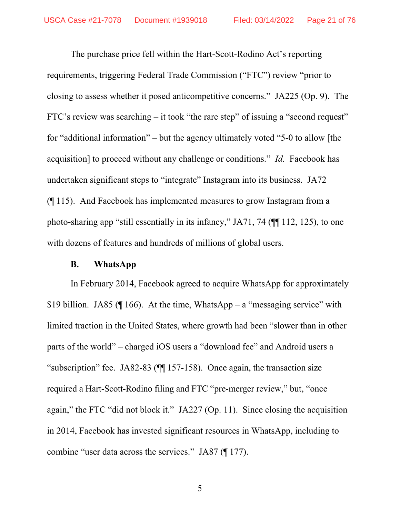The purchase price fell within the Hart-Scott-Rodino Act's reporting requirements, triggering Federal Trade Commission ("FTC") review "prior to closing to assess whether it posed anticompetitive concerns." JA225 (Op. 9). The FTC's review was searching – it took "the rare step" of issuing a "second request" for "additional information" – but the agency ultimately voted "5-0 to allow [the acquisition] to proceed without any challenge or conditions." *Id.* Facebook has undertaken significant steps to "integrate" Instagram into its business. JA72 (¶ 115). And Facebook has implemented measures to grow Instagram from a photo-sharing app "still essentially in its infancy," JA71, 74 (¶¶ 112, 125), to one with dozens of features and hundreds of millions of global users.

#### **B. WhatsApp**

In February 2014, Facebook agreed to acquire WhatsApp for approximately \$19 billion. JA85 ( $\P$  166). At the time, WhatsApp – a "messaging service" with limited traction in the United States, where growth had been "slower than in other parts of the world" – charged iOS users a "download fee" and Android users a "subscription" fee. JA82-83 ( $\P$ [157-158). Once again, the transaction size required a Hart-Scott-Rodino filing and FTC "pre-merger review," but, "once again," the FTC "did not block it." JA227 (Op. 11). Since closing the acquisition in 2014, Facebook has invested significant resources in WhatsApp, including to combine "user data across the services." JA87 (¶ 177).

5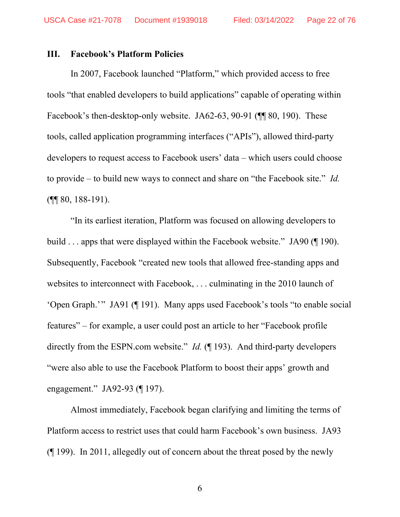#### **III. Facebook's Platform Policies**

In 2007, Facebook launched "Platform," which provided access to free tools "that enabled developers to build applications" capable of operating within Facebook's then-desktop-only website. JA62-63, 90-91 ( $\P$  80, 190). These tools, called application programming interfaces ("APIs"), allowed third-party developers to request access to Facebook users' data – which users could choose to provide – to build new ways to connect and share on "the Facebook site." *Id.* (¶¶ 80, 188-191).

"In its earliest iteration, Platform was focused on allowing developers to build . . . apps that were displayed within the Facebook website." JA90 (¶ 190). Subsequently, Facebook "created new tools that allowed free-standing apps and websites to interconnect with Facebook, . . . culminating in the 2010 launch of 'Open Graph.'" JA91 (¶ 191). Many apps used Facebook's tools "to enable social features" – for example, a user could post an article to her "Facebook profile directly from the ESPN.com website." *Id.* (¶ 193). And third-party developers "were also able to use the Facebook Platform to boost their apps' growth and engagement." JA92-93 (¶ 197).

Almost immediately, Facebook began clarifying and limiting the terms of Platform access to restrict uses that could harm Facebook's own business. JA93 (¶ 199). In 2011, allegedly out of concern about the threat posed by the newly

6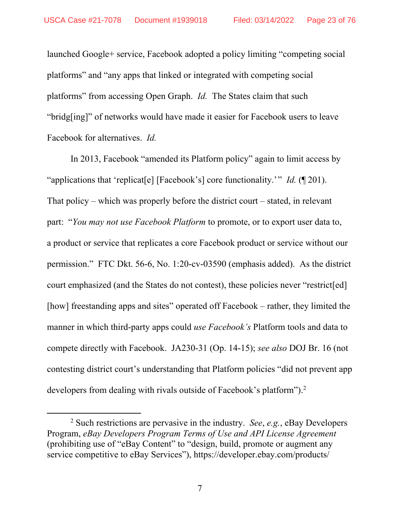launched Google+ service, Facebook adopted a policy limiting "competing social platforms" and "any apps that linked or integrated with competing social platforms" from accessing Open Graph. *Id.* The States claim that such "bridg[ing]" of networks would have made it easier for Facebook users to leave Facebook for alternatives. *Id.*

In 2013, Facebook "amended its Platform policy" again to limit access by "applications that 'replicat[e] [Facebook's] core functionality.'" *Id.* (¶ 201). That policy – which was properly before the district court – stated, in relevant part: "*You may not use Facebook Platform* to promote, or to export user data to, a product or service that replicates a core Facebook product or service without our permission." FTC Dkt. 56-6, No. 1:20-cv-03590 (emphasis added). As the district court emphasized (and the States do not contest), these policies never "restrict[ed] [how] freestanding apps and sites" operated off Facebook – rather, they limited the manner in which third-party apps could *use Facebook's* Platform tools and data to compete directly with Facebook. JA230-31 (Op. 14-15); *see also* DOJ Br. 16 (not contesting district court's understanding that Platform policies "did not prevent app developers from dealing with rivals outside of Facebook's platform").<sup>2</sup>

 $\frac{1}{2}$  Such restrictions are pervasive in the industry. *See*, *e.g.*, eBay Developers Program, *eBay Developers Program Terms of Use and API License Agreement* (prohibiting use of "eBay Content" to "design, build, promote or augment any service competitive to eBay Services"), https://developer.ebay.com/products/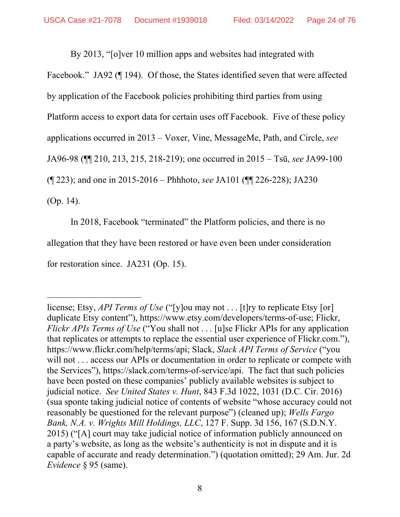By 2013, "[o]ver 10 million apps and websites had integrated with Facebook." JA92 (¶ 194). Of those, the States identified seven that were affected by application of the Facebook policies prohibiting third parties from using Platform access to export data for certain uses off Facebook. Five of these policy applications occurred in 2013 – Voxer, Vine, MessageMe, Path, and Circle, *see*  JA96-98 (¶¶ 210, 213, 215, 218-219); one occurred in 2015 – Tsū, *see* JA99-100 (¶ 223); and one in 2015-2016 – Phhhoto, *see* JA101 (¶¶ 226-228); JA230 (Op. 14).

In 2018, Facebook "terminated" the Platform policies, and there is no allegation that they have been restored or have even been under consideration for restoration since. JA231 (Op. 15).

-

license; Etsy, *API Terms of Use* ("[y]ou may not . . . [t]ry to replicate Etsy [or] duplicate Etsy content"), https://www.etsy.com/developers/terms-of-use; Flickr, *Flickr APIs Terms of Use* ("You shall not . . . [u]se Flickr APIs for any application that replicates or attempts to replace the essential user experience of Flickr.com."), https://www.flickr.com/help/terms/api; Slack, *Slack API Terms of Service* ("you will not . . . access our APIs or documentation in order to replicate or compete with the Services"), https://slack.com/terms-of-service/api. The fact that such policies have been posted on these companies' publicly available websites is subject to judicial notice. *See United States v. Hunt*, 843 F.3d 1022, 1031 (D.C. Cir. 2016) (sua sponte taking judicial notice of contents of website "whose accuracy could not reasonably be questioned for the relevant purpose") (cleaned up); *Wells Fargo Bank, N.A. v. Wrights Mill Holdings, LLC*, 127 F. Supp. 3d 156, 167 (S.D.N.Y. 2015) ("[A] court may take judicial notice of information publicly announced on a party's website, as long as the website's authenticity is not in dispute and it is capable of accurate and ready determination.") (quotation omitted); 29 Am. Jur. 2d *Evidence* § 95 (same).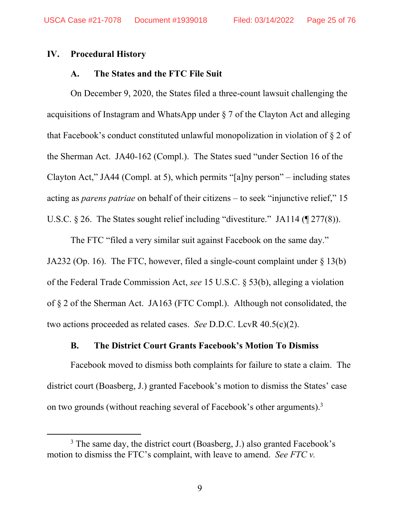#### **IV. Procedural History**

#### **A. The States and the FTC File Suit**

On December 9, 2020, the States filed a three-count lawsuit challenging the acquisitions of Instagram and WhatsApp under § 7 of the Clayton Act and alleging that Facebook's conduct constituted unlawful monopolization in violation of § 2 of the Sherman Act. JA40-162 (Compl.). The States sued "under Section 16 of the Clayton Act," JA44 (Compl. at 5), which permits "[a]ny person" – including states acting as *parens patriae* on behalf of their citizens – to seek "injunctive relief," 15 U.S.C. § 26. The States sought relief including "divestiture." JA114 (¶ 277(8)).

The FTC "filed a very similar suit against Facebook on the same day." JA232 (Op. 16). The FTC, however, filed a single-count complaint under § 13(b) of the Federal Trade Commission Act, *see* 15 U.S.C. § 53(b), alleging a violation of § 2 of the Sherman Act. JA163 (FTC Compl.). Although not consolidated, the two actions proceeded as related cases. *See* D.D.C. LcvR 40.5(c)(2).

## **B. The District Court Grants Facebook's Motion To Dismiss**

Facebook moved to dismiss both complaints for failure to state a claim. The district court (Boasberg, J.) granted Facebook's motion to dismiss the States' case on two grounds (without reaching several of Facebook's other arguments).<sup>3</sup>

 $\frac{1}{3}$  $3$  The same day, the district court (Boasberg, J.) also granted Facebook's motion to dismiss the FTC's complaint, with leave to amend. *See FTC v.*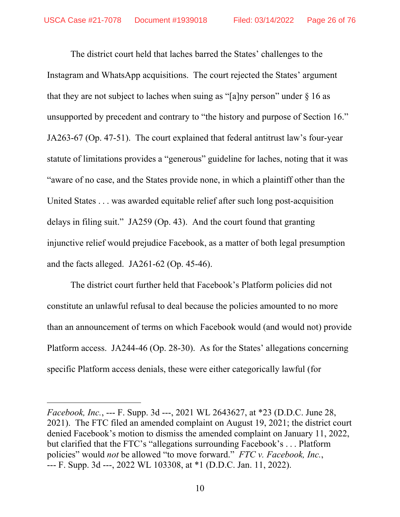The district court held that laches barred the States' challenges to the Instagram and WhatsApp acquisitions. The court rejected the States' argument that they are not subject to laches when suing as "[a]ny person" under  $\S$  16 as unsupported by precedent and contrary to "the history and purpose of Section 16." JA263-67 (Op. 47-51). The court explained that federal antitrust law's four-year statute of limitations provides a "generous" guideline for laches, noting that it was "aware of no case, and the States provide none, in which a plaintiff other than the United States . . . was awarded equitable relief after such long post-acquisition delays in filing suit." JA259 (Op. 43). And the court found that granting injunctive relief would prejudice Facebook, as a matter of both legal presumption and the facts alleged. JA261-62 (Op. 45-46).

The district court further held that Facebook's Platform policies did not constitute an unlawful refusal to deal because the policies amounted to no more than an announcement of terms on which Facebook would (and would not) provide Platform access. JA244-46 (Op. 28-30). As for the States' allegations concerning specific Platform access denials, these were either categorically lawful (for

l

*Facebook, Inc.*, --- F. Supp. 3d ---, 2021 WL 2643627, at \*23 (D.D.C. June 28, 2021). The FTC filed an amended complaint on August 19, 2021; the district court denied Facebook's motion to dismiss the amended complaint on January 11, 2022, but clarified that the FTC's "allegations surrounding Facebook's . . . Platform policies" would *not* be allowed "to move forward." *FTC v. Facebook, Inc.*, --- F. Supp. 3d ---, 2022 WL 103308, at \*1 (D.D.C. Jan. 11, 2022).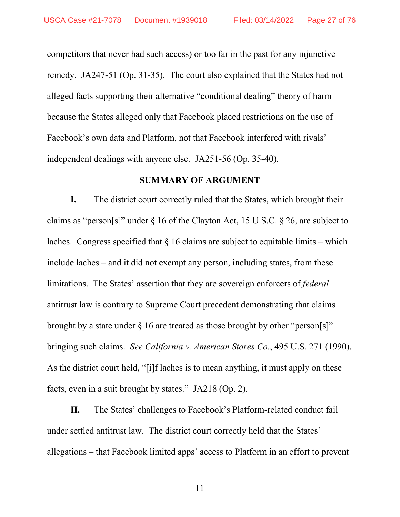competitors that never had such access) or too far in the past for any injunctive remedy. JA247-51 (Op. 31-35). The court also explained that the States had not alleged facts supporting their alternative "conditional dealing" theory of harm because the States alleged only that Facebook placed restrictions on the use of Facebook's own data and Platform, not that Facebook interfered with rivals' independent dealings with anyone else. JA251-56 (Op. 35-40).

#### **SUMMARY OF ARGUMENT**

**I.** The district court correctly ruled that the States, which brought their claims as "person[s]" under § 16 of the Clayton Act, 15 U.S.C. § 26, are subject to laches. Congress specified that  $\S$  16 claims are subject to equitable limits – which include laches – and it did not exempt any person, including states, from these limitations. The States' assertion that they are sovereign enforcers of *federal* antitrust law is contrary to Supreme Court precedent demonstrating that claims brought by a state under  $\S$  16 are treated as those brought by other "person[s]" bringing such claims. *See California v. American Stores Co.*, 495 U.S. 271 (1990). As the district court held, "[i]f laches is to mean anything, it must apply on these facts, even in a suit brought by states." JA218 (Op. 2).

**II.** The States' challenges to Facebook's Platform-related conduct fail under settled antitrust law. The district court correctly held that the States' allegations – that Facebook limited apps' access to Platform in an effort to prevent

11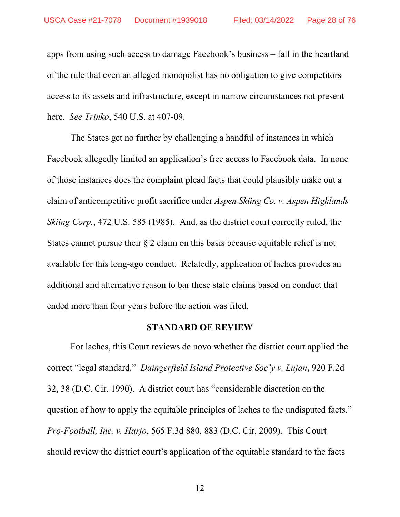apps from using such access to damage Facebook's business – fall in the heartland of the rule that even an alleged monopolist has no obligation to give competitors access to its assets and infrastructure, except in narrow circumstances not present here. *See Trinko*, 540 U.S. at 407-09.

The States get no further by challenging a handful of instances in which Facebook allegedly limited an application's free access to Facebook data. In none of those instances does the complaint plead facts that could plausibly make out a claim of anticompetitive profit sacrifice under *Aspen Skiing Co. v. Aspen Highlands Skiing Corp.*, 472 U.S. 585 (1985)*.* And, as the district court correctly ruled, the States cannot pursue their § 2 claim on this basis because equitable relief is not available for this long-ago conduct. Relatedly, application of laches provides an additional and alternative reason to bar these stale claims based on conduct that ended more than four years before the action was filed.

#### **STANDARD OF REVIEW**

For laches, this Court reviews de novo whether the district court applied the correct "legal standard." *Daingerfield Island Protective Soc'y v. Lujan*, 920 F.2d 32, 38 (D.C. Cir. 1990). A district court has "considerable discretion on the question of how to apply the equitable principles of laches to the undisputed facts." *Pro-Football, Inc. v. Harjo*, 565 F.3d 880, 883 (D.C. Cir. 2009). This Court should review the district court's application of the equitable standard to the facts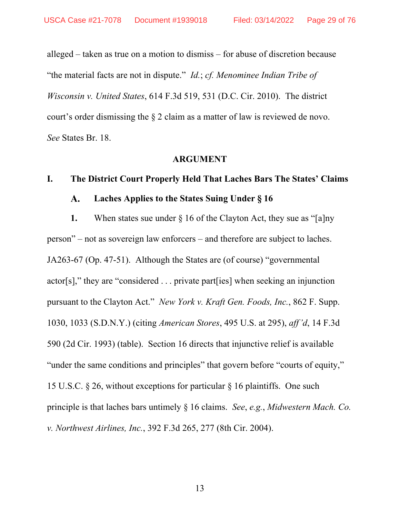alleged – taken as true on a motion to dismiss – for abuse of discretion because "the material facts are not in dispute." *Id.*; *cf. Menominee Indian Tribe of Wisconsin v. United States*, 614 F.3d 519, 531 (D.C. Cir. 2010). The district court's order dismissing the § 2 claim as a matter of law is reviewed de novo. *See* States Br. 18.

#### **ARGUMENT**

#### **I. The District Court Properly Held That Laches Bars The States' Claims**

#### **Laches Applies to the States Suing Under § 16**   $\mathbf{A}$ .

**1.** When states sue under § 16 of the Clayton Act, they sue as "[a]ny person" – not as sovereign law enforcers – and therefore are subject to laches. JA263-67 (Op. 47-51). Although the States are (of course) "governmental actor[s]," they are "considered . . . private part[ies] when seeking an injunction pursuant to the Clayton Act." *New York v. Kraft Gen. Foods, Inc.*, 862 F. Supp. 1030, 1033 (S.D.N.Y.) (citing *American Stores*, 495 U.S. at 295), *aff'd*, 14 F.3d 590 (2d Cir. 1993) (table). Section 16 directs that injunctive relief is available "under the same conditions and principles" that govern before "courts of equity," 15 U.S.C. § 26, without exceptions for particular § 16 plaintiffs. One such principle is that laches bars untimely § 16 claims. *See*, *e.g.*, *Midwestern Mach. Co. v. Northwest Airlines, Inc.*, 392 F.3d 265, 277 (8th Cir. 2004).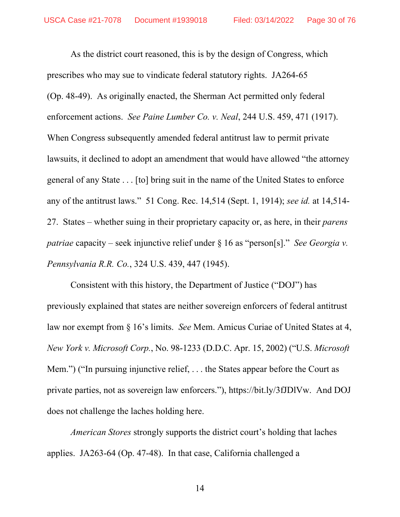As the district court reasoned, this is by the design of Congress, which prescribes who may sue to vindicate federal statutory rights. JA264-65 (Op. 48-49). As originally enacted, the Sherman Act permitted only federal enforcement actions. *See Paine Lumber Co. v. Neal*, 244 U.S. 459, 471 (1917). When Congress subsequently amended federal antitrust law to permit private lawsuits, it declined to adopt an amendment that would have allowed "the attorney general of any State . . . [to] bring suit in the name of the United States to enforce any of the antitrust laws." 51 Cong. Rec. 14,514 (Sept. 1, 1914); *see id.* at 14,514- 27. States – whether suing in their proprietary capacity or, as here, in their *parens patriae* capacity – seek injunctive relief under § 16 as "person[s]." *See Georgia v. Pennsylvania R.R. Co.*, 324 U.S. 439, 447 (1945).

Consistent with this history, the Department of Justice ("DOJ") has previously explained that states are neither sovereign enforcers of federal antitrust law nor exempt from § 16's limits. *See* Mem. Amicus Curiae of United States at 4, *New York v. Microsoft Corp.*, No. 98-1233 (D.D.C. Apr. 15, 2002) ("U.S. *Microsoft* Mem.") ("In pursuing injunctive relief, . . . the States appear before the Court as private parties, not as sovereign law enforcers."), https://bit.ly/3fJDlVw. And DOJ does not challenge the laches holding here.

*American Stores* strongly supports the district court's holding that laches applies. JA263-64 (Op. 47-48). In that case, California challenged a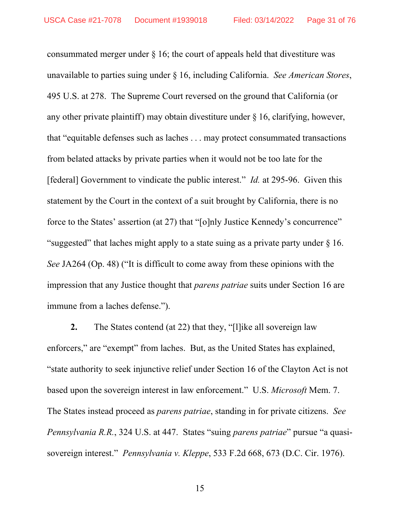consummated merger under  $\S$  16; the court of appeals held that divestiture was unavailable to parties suing under § 16, including California. *See American Stores*, 495 U.S. at 278. The Supreme Court reversed on the ground that California (or any other private plaintiff) may obtain divestiture under § 16, clarifying, however, that "equitable defenses such as laches . . . may protect consummated transactions from belated attacks by private parties when it would not be too late for the [federal] Government to vindicate the public interest." *Id.* at 295-96. Given this statement by the Court in the context of a suit brought by California, there is no force to the States' assertion (at 27) that "[o]nly Justice Kennedy's concurrence" "suggested" that laches might apply to a state suing as a private party under § 16. *See* JA264 (Op. 48) ("It is difficult to come away from these opinions with the impression that any Justice thought that *parens patriae* suits under Section 16 are immune from a laches defense.").

**2.** The States contend (at 22) that they, "[l]ike all sovereign law enforcers," are "exempt" from laches. But, as the United States has explained, "state authority to seek injunctive relief under Section 16 of the Clayton Act is not based upon the sovereign interest in law enforcement." U.S. *Microsoft* Mem. 7. The States instead proceed as *parens patriae*, standing in for private citizens. *See Pennsylvania R.R.*, 324 U.S. at 447. States "suing *parens patriae*" pursue "a quasisovereign interest." *Pennsylvania v. Kleppe*, 533 F.2d 668, 673 (D.C. Cir. 1976).

15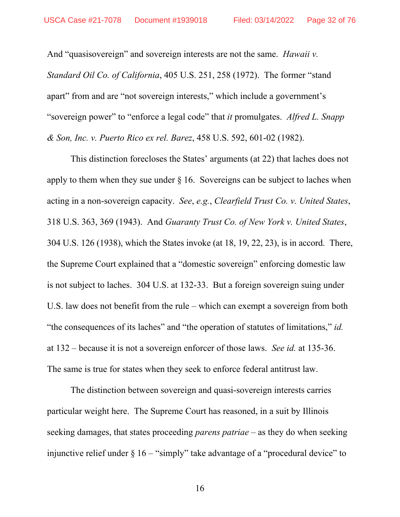And "quasisovereign" and sovereign interests are not the same. *Hawaii v. Standard Oil Co. of California*, 405 U.S. 251, 258 (1972). The former "stand apart" from and are "not sovereign interests," which include a government's "sovereign power" to "enforce a legal code" that *it* promulgates. *Alfred L. Snapp & Son, Inc. v. Puerto Rico ex rel. Barez*, 458 U.S. 592, 601-02 (1982).

This distinction forecloses the States' arguments (at 22) that laches does not apply to them when they sue under  $\S$  16. Sovereigns can be subject to laches when acting in a non-sovereign capacity. *See*, *e.g.*, *Clearfield Trust Co. v. United States*, 318 U.S. 363, 369 (1943). And *Guaranty Trust Co. of New York v. United States*, 304 U.S. 126 (1938), which the States invoke (at 18, 19, 22, 23), is in accord. There, the Supreme Court explained that a "domestic sovereign" enforcing domestic law is not subject to laches. 304 U.S. at 132-33. But a foreign sovereign suing under U.S. law does not benefit from the rule – which can exempt a sovereign from both "the consequences of its laches" and "the operation of statutes of limitations," *id.* at 132 – because it is not a sovereign enforcer of those laws. *See id.* at 135-36. The same is true for states when they seek to enforce federal antitrust law.

The distinction between sovereign and quasi-sovereign interests carries particular weight here. The Supreme Court has reasoned, in a suit by Illinois seeking damages, that states proceeding *parens patriae* – as they do when seeking injunctive relief under  $\S 16 -$ "simply" take advantage of a "procedural device" to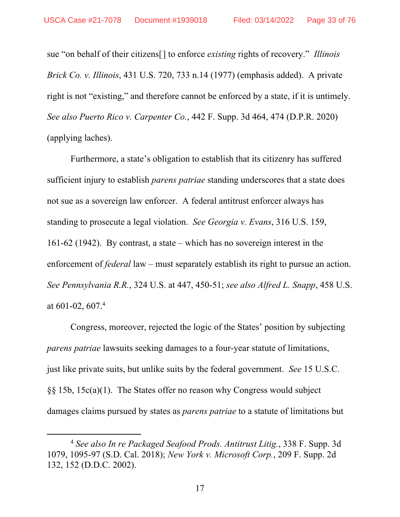sue "on behalf of their citizens[] to enforce *existing* rights of recovery." *Illinois Brick Co. v. Illinois*, 431 U.S. 720, 733 n.14 (1977) (emphasis added). A private right is not "existing," and therefore cannot be enforced by a state, if it is untimely. *See also Puerto Rico v. Carpenter Co.*, 442 F. Supp. 3d 464, 474 (D.P.R. 2020) (applying laches).

Furthermore, a state's obligation to establish that its citizenry has suffered sufficient injury to establish *parens patriae* standing underscores that a state does not sue as a sovereign law enforcer. A federal antitrust enforcer always has standing to prosecute a legal violation. *See Georgia v. Evans*, 316 U.S. 159, 161-62 (1942). By contrast, a state – which has no sovereign interest in the enforcement of *federal* law – must separately establish its right to pursue an action. *See Pennsylvania R.R.*, 324 U.S. at 447, 450-51; *see also Alfred L. Snapp*, 458 U.S. at 601-02, 607.<sup>4</sup>

Congress, moreover, rejected the logic of the States' position by subjecting *parens patriae* lawsuits seeking damages to a four-year statute of limitations, just like private suits, but unlike suits by the federal government. *See* 15 U.S.C. §§ 15b, 15c(a)(1). The States offer no reason why Congress would subject damages claims pursued by states as *parens patriae* to a statute of limitations but

 <sup>4</sup> *See also In re Packaged Seafood Prods. Antitrust Litig.*, 338 F. Supp. 3d 1079, 1095-97 (S.D. Cal. 2018); *New York v. Microsoft Corp.*, 209 F. Supp. 2d 132, 152 (D.D.C. 2002).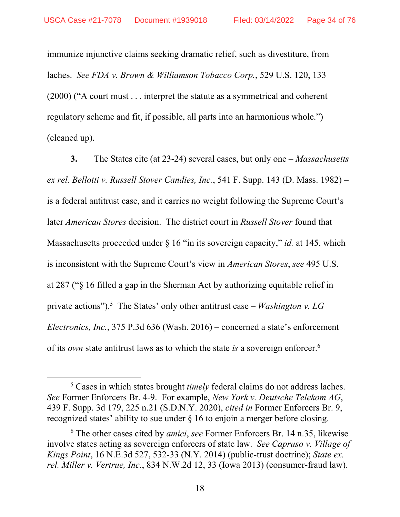immunize injunctive claims seeking dramatic relief, such as divestiture, from laches. *See FDA v. Brown & Williamson Tobacco Corp.*, 529 U.S. 120, 133 (2000) ("A court must . . . interpret the statute as a symmetrical and coherent regulatory scheme and fit, if possible, all parts into an harmonious whole.") (cleaned up).

**3.** The States cite (at 23-24) several cases, but only one – *Massachusetts ex rel. Bellotti v. Russell Stover Candies, Inc.*, 541 F. Supp. 143 (D. Mass. 1982) – is a federal antitrust case, and it carries no weight following the Supreme Court's later *American Stores* decision. The district court in *Russell Stover* found that Massachusetts proceeded under § 16 "in its sovereign capacity," *id.* at 145, which is inconsistent with the Supreme Court's view in *American Stores*, *see* 495 U.S. at 287 ("§ 16 filled a gap in the Sherman Act by authorizing equitable relief in private actions").<sup>5</sup> The States' only other antitrust case – *Washington v. LG Electronics, Inc.*, 375 P.3d 636 (Wash. 2016) – concerned a state's enforcement of its *own* state antitrust laws as to which the state *is* a sovereign enforcer.6

 $\frac{1}{5}$ <sup>5</sup> Cases in which states brought *timely* federal claims do not address laches. *See* Former Enforcers Br. 4-9. For example, *New York v. Deutsche Telekom AG*, 439 F. Supp. 3d 179, 225 n.21 (S.D.N.Y. 2020), *cited in* Former Enforcers Br. 9, recognized states' ability to sue under § 16 to enjoin a merger before closing.

<sup>6</sup> The other cases cited by *amici*, *see* Former Enforcers Br. 14 n.35, likewise involve states acting as sovereign enforcers of state law. *See Capruso v. Village of Kings Point*, 16 N.E.3d 527, 532-33 (N.Y. 2014) (public-trust doctrine); *State ex. rel. Miller v. Vertrue, Inc.*, 834 N.W.2d 12, 33 (Iowa 2013) (consumer-fraud law).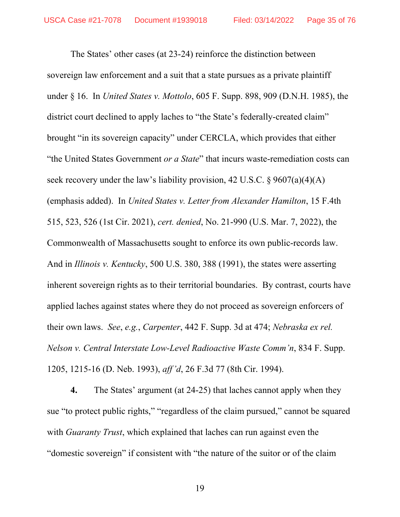The States' other cases (at 23-24) reinforce the distinction between sovereign law enforcement and a suit that a state pursues as a private plaintiff under § 16. In *United States v. Mottolo*, 605 F. Supp. 898, 909 (D.N.H. 1985), the district court declined to apply laches to "the State's federally-created claim" brought "in its sovereign capacity" under CERCLA, which provides that either "the United States Government *or a State*" that incurs waste-remediation costs can seek recovery under the law's liability provision, 42 U.S.C.  $\S 9607(a)(4)(A)$ (emphasis added). In *United States v. Letter from Alexander Hamilton*, 15 F.4th 515, 523, 526 (1st Cir. 2021), *cert. denied*, No. 21-990 (U.S. Mar. 7, 2022), the Commonwealth of Massachusetts sought to enforce its own public-records law. And in *Illinois v. Kentucky*, 500 U.S. 380, 388 (1991), the states were asserting inherent sovereign rights as to their territorial boundaries. By contrast, courts have applied laches against states where they do not proceed as sovereign enforcers of their own laws. *See*, *e.g.*, *Carpenter*, 442 F. Supp. 3d at 474; *Nebraska ex rel. Nelson v. Central Interstate Low-Level Radioactive Waste Comm'n*, 834 F. Supp. 1205, 1215-16 (D. Neb. 1993), *aff'd*, 26 F.3d 77 (8th Cir. 1994).

**4.** The States' argument (at 24-25) that laches cannot apply when they sue "to protect public rights," "regardless of the claim pursued," cannot be squared with *Guaranty Trust*, which explained that laches can run against even the "domestic sovereign" if consistent with "the nature of the suitor or of the claim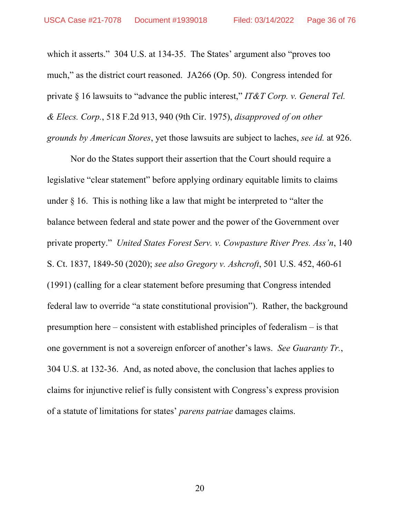which it asserts." 304 U.S. at 134-35. The States' argument also "proves too much," as the district court reasoned. JA266 (Op. 50). Congress intended for private § 16 lawsuits to "advance the public interest," *IT&T Corp. v. General Tel. & Elecs. Corp.*, 518 F.2d 913, 940 (9th Cir. 1975), *disapproved of on other grounds by American Stores*, yet those lawsuits are subject to laches, *see id.* at 926.

Nor do the States support their assertion that the Court should require a legislative "clear statement" before applying ordinary equitable limits to claims under § 16. This is nothing like a law that might be interpreted to "alter the balance between federal and state power and the power of the Government over private property." *United States Forest Serv. v. Cowpasture River Pres. Ass'n*, 140 S. Ct. 1837, 1849-50 (2020); *see also Gregory v. Ashcroft*, 501 U.S. 452, 460-61 (1991) (calling for a clear statement before presuming that Congress intended federal law to override "a state constitutional provision"). Rather, the background presumption here – consistent with established principles of federalism – is that one government is not a sovereign enforcer of another's laws. *See Guaranty Tr.*, 304 U.S. at 132-36. And, as noted above, the conclusion that laches applies to claims for injunctive relief is fully consistent with Congress's express provision of a statute of limitations for states' *parens patriae* damages claims.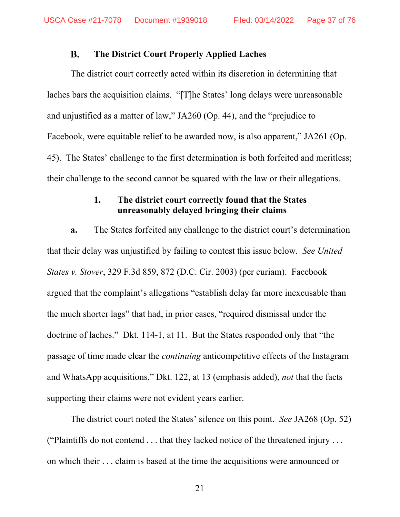#### **B. The District Court Properly Applied Laches**

The district court correctly acted within its discretion in determining that laches bars the acquisition claims. "[T]he States' long delays were unreasonable and unjustified as a matter of law," JA260 (Op. 44), and the "prejudice to Facebook, were equitable relief to be awarded now, is also apparent," JA261 (Op. 45). The States' challenge to the first determination is both forfeited and meritless; their challenge to the second cannot be squared with the law or their allegations.

### **1. The district court correctly found that the States unreasonably delayed bringing their claims**

**a.** The States forfeited any challenge to the district court's determination that their delay was unjustified by failing to contest this issue below. *See United States v. Stover*, 329 F.3d 859, 872 (D.C. Cir. 2003) (per curiam). Facebook argued that the complaint's allegations "establish delay far more inexcusable than the much shorter lags" that had, in prior cases, "required dismissal under the doctrine of laches." Dkt. 114-1, at 11. But the States responded only that "the passage of time made clear the *continuing* anticompetitive effects of the Instagram and WhatsApp acquisitions," Dkt. 122, at 13 (emphasis added), *not* that the facts supporting their claims were not evident years earlier.

The district court noted the States' silence on this point. *See* JA268 (Op. 52) ("Plaintiffs do not contend . . . that they lacked notice of the threatened injury . . . on which their . . . claim is based at the time the acquisitions were announced or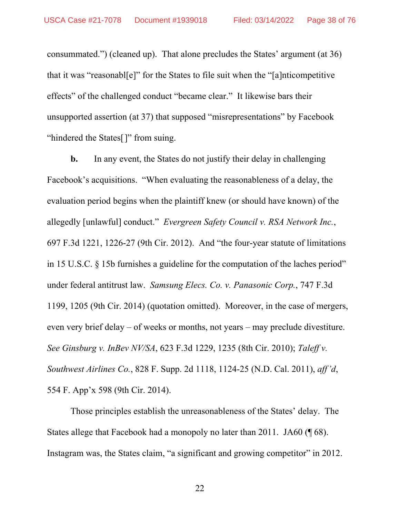consummated.") (cleaned up). That alone precludes the States' argument (at 36) that it was "reasonabl[e]" for the States to file suit when the "[a]nticompetitive effects" of the challenged conduct "became clear." It likewise bars their unsupported assertion (at 37) that supposed "misrepresentations" by Facebook "hindered the States<sup>[]"</sup> from suing.

**b.** In any event, the States do not justify their delay in challenging Facebook's acquisitions. "When evaluating the reasonableness of a delay, the evaluation period begins when the plaintiff knew (or should have known) of the allegedly [unlawful] conduct." *Evergreen Safety Council v. RSA Network Inc.*, 697 F.3d 1221, 1226-27 (9th Cir. 2012). And "the four-year statute of limitations in 15 U.S.C. § 15b furnishes a guideline for the computation of the laches period" under federal antitrust law. *Samsung Elecs. Co. v. Panasonic Corp.*, 747 F.3d 1199, 1205 (9th Cir. 2014) (quotation omitted). Moreover, in the case of mergers, even very brief delay – of weeks or months, not years – may preclude divestiture. *See Ginsburg v. InBev NV/SA*, 623 F.3d 1229, 1235 (8th Cir. 2010); *Taleff v. Southwest Airlines Co.*, 828 F. Supp. 2d 1118, 1124-25 (N.D. Cal. 2011), *aff'd*, 554 F. App'x 598 (9th Cir. 2014).

Those principles establish the unreasonableness of the States' delay. The States allege that Facebook had a monopoly no later than 2011. JA60 (¶ 68). Instagram was, the States claim, "a significant and growing competitor" in 2012.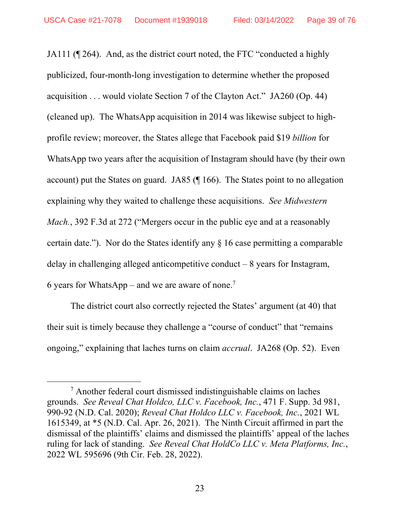JA111 (¶ 264). And, as the district court noted, the FTC "conducted a highly publicized, four-month-long investigation to determine whether the proposed acquisition . . . would violate Section 7 of the Clayton Act." JA260 (Op. 44) (cleaned up). The WhatsApp acquisition in 2014 was likewise subject to highprofile review; moreover, the States allege that Facebook paid \$19 *billion* for WhatsApp two years after the acquisition of Instagram should have (by their own account) put the States on guard. JA85 (¶ 166). The States point to no allegation explaining why they waited to challenge these acquisitions. *See Midwestern Mach.*, 392 F.3d at 272 ("Mergers occur in the public eye and at a reasonably certain date."). Nor do the States identify any § 16 case permitting a comparable delay in challenging alleged anticompetitive conduct  $-8$  years for Instagram, 6 years for WhatsApp – and we are aware of none.<sup>7</sup>

The district court also correctly rejected the States' argument (at 40) that their suit is timely because they challenge a "course of conduct" that "remains ongoing," explaining that laches turns on claim *accrual*. JA268 (Op. 52). Even

 $\frac{1}{7}$  $7$  Another federal court dismissed indistinguishable claims on laches grounds. *See Reveal Chat Holdco, LLC v. Facebook, Inc.*, 471 F. Supp. 3d 981, 990-92 (N.D. Cal. 2020); *Reveal Chat Holdco LLC v. Facebook, Inc.*, 2021 WL 1615349, at \*5 (N.D. Cal. Apr. 26, 2021). The Ninth Circuit affirmed in part the dismissal of the plaintiffs' claims and dismissed the plaintiffs' appeal of the laches ruling for lack of standing. *See Reveal Chat HoldCo LLC v. Meta Platforms, Inc.*, 2022 WL 595696 (9th Cir. Feb. 28, 2022).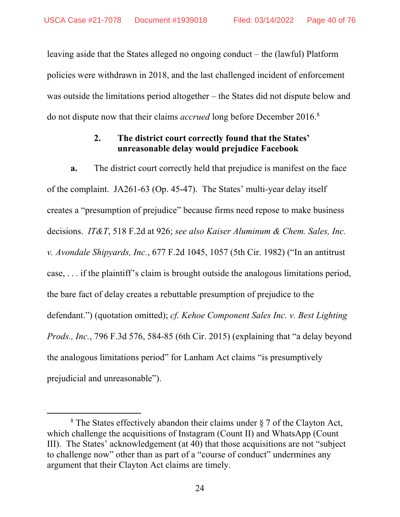leaving aside that the States alleged no ongoing conduct – the (lawful) Platform policies were withdrawn in 2018, and the last challenged incident of enforcement was outside the limitations period altogether – the States did not dispute below and do not dispute now that their claims *accrued* long before December 2016.8

# **2. The district court correctly found that the States' unreasonable delay would prejudice Facebook**

**a.** The district court correctly held that prejudice is manifest on the face of the complaint. JA261-63 (Op. 45-47). The States' multi-year delay itself creates a "presumption of prejudice" because firms need repose to make business decisions. *IT&T*, 518 F.2d at 926; *see also Kaiser Aluminum & Chem. Sales, Inc. v. Avondale Shipyards, Inc.*, 677 F.2d 1045, 1057 (5th Cir. 1982) ("In an antitrust case, . . . if the plaintiff's claim is brought outside the analogous limitations period, the bare fact of delay creates a rebuttable presumption of prejudice to the defendant.") (quotation omitted); *cf. Kehoe Component Sales Inc. v. Best Lighting Prods., Inc.*, 796 F.3d 576, 584-85 (6th Cir. 2015) (explaining that "a delay beyond the analogous limitations period" for Lanham Act claims "is presumptively prejudicial and unreasonable").

 <sup>8</sup>  $8$  The States effectively abandon their claims under  $\S 7$  of the Clayton Act, which challenge the acquisitions of Instagram (Count II) and WhatsApp (Count III). The States' acknowledgement (at 40) that those acquisitions are not "subject to challenge now" other than as part of a "course of conduct" undermines any argument that their Clayton Act claims are timely.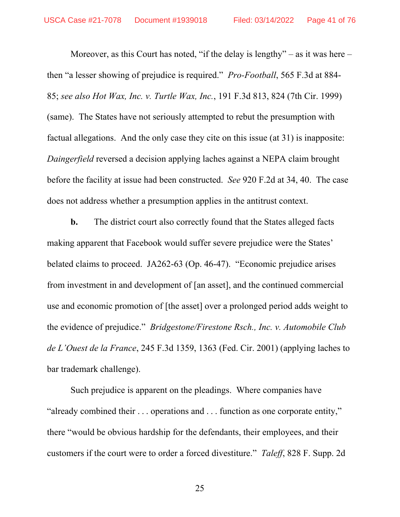Moreover, as this Court has noted, "if the delay is lengthy" – as it was here – then "a lesser showing of prejudice is required." *Pro-Football*, 565 F.3d at 884- 85; *see also Hot Wax, Inc. v. Turtle Wax, Inc.*, 191 F.3d 813, 824 (7th Cir. 1999) (same). The States have not seriously attempted to rebut the presumption with factual allegations. And the only case they cite on this issue (at 31) is inapposite: *Daingerfield* reversed a decision applying laches against a NEPA claim brought before the facility at issue had been constructed. *See* 920 F.2d at 34, 40. The case does not address whether a presumption applies in the antitrust context.

**b.** The district court also correctly found that the States alleged facts making apparent that Facebook would suffer severe prejudice were the States' belated claims to proceed. JA262-63 (Op. 46-47). "Economic prejudice arises from investment in and development of [an asset], and the continued commercial use and economic promotion of [the asset] over a prolonged period adds weight to the evidence of prejudice." *Bridgestone/Firestone Rsch., Inc. v. Automobile Club de L'Ouest de la France*, 245 F.3d 1359, 1363 (Fed. Cir. 2001) (applying laches to bar trademark challenge).

Such prejudice is apparent on the pleadings. Where companies have "already combined their . . . operations and . . . function as one corporate entity," there "would be obvious hardship for the defendants, their employees, and their customers if the court were to order a forced divestiture." *Taleff*, 828 F. Supp. 2d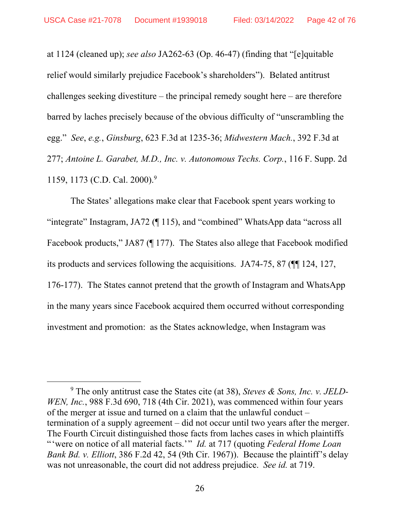at 1124 (cleaned up); *see also* JA262-63 (Op. 46-47) (finding that "[e]quitable relief would similarly prejudice Facebook's shareholders"). Belated antitrust challenges seeking divestiture – the principal remedy sought here – are therefore barred by laches precisely because of the obvious difficulty of "unscrambling the egg." *See*, *e.g.*, *Ginsburg*, 623 F.3d at 1235-36; *Midwestern Mach.*, 392 F.3d at 277; *Antoine L. Garabet, M.D., Inc. v. Autonomous Techs. Corp.*, 116 F. Supp. 2d 1159, 1173 (C.D. Cal. 2000).9

The States' allegations make clear that Facebook spent years working to "integrate" Instagram, JA72 (¶ 115), and "combined" WhatsApp data "across all Facebook products," JA87 (¶ 177). The States also allege that Facebook modified its products and services following the acquisitions. JA74-75, 87 (¶¶ 124, 127, 176-177). The States cannot pretend that the growth of Instagram and WhatsApp in the many years since Facebook acquired them occurred without corresponding investment and promotion: as the States acknowledge, when Instagram was

 $\overline{9}$  The only antitrust case the States cite (at 38), *Steves & Sons, Inc. v. JELD-WEN, Inc.*, 988 F.3d 690, 718 (4th Cir. 2021), was commenced within four years of the merger at issue and turned on a claim that the unlawful conduct – termination of a supply agreement – did not occur until two years after the merger. The Fourth Circuit distinguished those facts from laches cases in which plaintiffs "'were on notice of all material facts.'" *Id.* at 717 (quoting *Federal Home Loan Bank Bd. v. Elliott*, 386 F.2d 42, 54 (9th Cir. 1967)). Because the plaintiff's delay was not unreasonable, the court did not address prejudice. *See id.* at 719.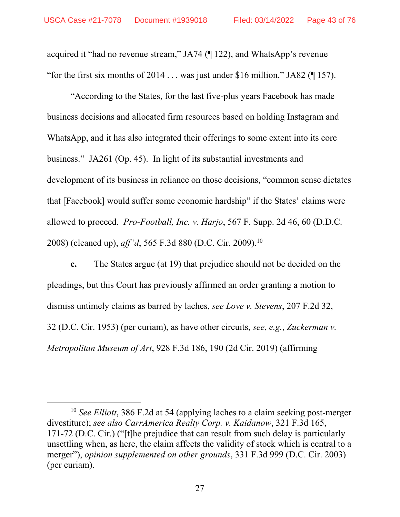acquired it "had no revenue stream," JA74 (¶ 122), and WhatsApp's revenue "for the first six months of  $2014...$  was just under \$16 million," JA82 ( $\parallel$  157).

"According to the States, for the last five-plus years Facebook has made business decisions and allocated firm resources based on holding Instagram and WhatsApp, and it has also integrated their offerings to some extent into its core business." JA261 (Op. 45). In light of its substantial investments and development of its business in reliance on those decisions, "common sense dictates that [Facebook] would suffer some economic hardship" if the States' claims were allowed to proceed. *Pro-Football, Inc. v. Harjo*, 567 F. Supp. 2d 46, 60 (D.D.C. 2008) (cleaned up), *aff'd*, 565 F.3d 880 (D.C. Cir. 2009).10

**c.** The States argue (at 19) that prejudice should not be decided on the pleadings, but this Court has previously affirmed an order granting a motion to dismiss untimely claims as barred by laches, *see Love v. Stevens*, 207 F.2d 32, 32 (D.C. Cir. 1953) (per curiam), as have other circuits, *see*, *e.g.*, *Zuckerman v. Metropolitan Museum of Art*, 928 F.3d 186, 190 (2d Cir. 2019) (affirming

 <sup>10</sup> *See Elliott*, 386 F.2d at 54 (applying laches to a claim seeking post-merger divestiture); *see also CarrAmerica Realty Corp. v. Kaidanow*, 321 F.3d 165, 171-72 (D.C. Cir.) ("[t]he prejudice that can result from such delay is particularly unsettling when, as here, the claim affects the validity of stock which is central to a merger"), *opinion supplemented on other grounds*, 331 F.3d 999 (D.C. Cir. 2003) (per curiam).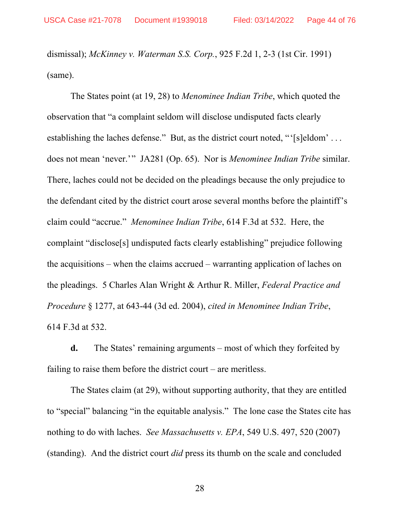dismissal); *McKinney v. Waterman S.S. Corp.*, 925 F.2d 1, 2-3 (1st Cir. 1991) (same).

The States point (at 19, 28) to *Menominee Indian Tribe*, which quoted the observation that "a complaint seldom will disclose undisputed facts clearly establishing the laches defense." But, as the district court noted, "'[s]eldom' ... does not mean 'never.'" JA281 (Op. 65). Nor is *Menominee Indian Tribe* similar. There, laches could not be decided on the pleadings because the only prejudice to the defendant cited by the district court arose several months before the plaintiff's claim could "accrue." *Menominee Indian Tribe*, 614 F.3d at 532. Here, the complaint "disclose[s] undisputed facts clearly establishing" prejudice following the acquisitions – when the claims accrued – warranting application of laches on the pleadings. 5 Charles Alan Wright & Arthur R. Miller, *Federal Practice and Procedure* § 1277, at 643-44 (3d ed. 2004), *cited in Menominee Indian Tribe*, 614 F.3d at 532.

**d.** The States' remaining arguments – most of which they forfeited by failing to raise them before the district court – are meritless.

The States claim (at 29), without supporting authority, that they are entitled to "special" balancing "in the equitable analysis." The lone case the States cite has nothing to do with laches. *See Massachusetts v. EPA*, 549 U.S. 497, 520 (2007) (standing). And the district court *did* press its thumb on the scale and concluded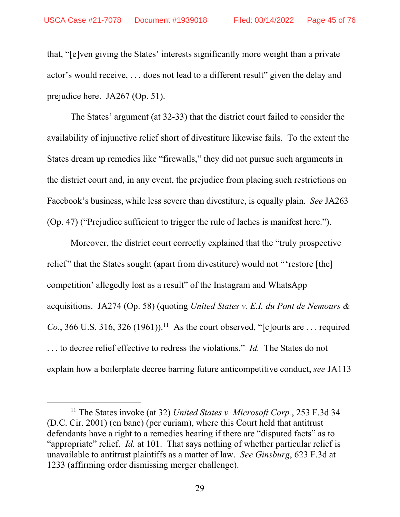that, "[e]ven giving the States' interests significantly more weight than a private actor's would receive, . . . does not lead to a different result" given the delay and prejudice here. JA267 (Op. 51).

The States' argument (at 32-33) that the district court failed to consider the availability of injunctive relief short of divestiture likewise fails. To the extent the States dream up remedies like "firewalls," they did not pursue such arguments in the district court and, in any event, the prejudice from placing such restrictions on Facebook's business, while less severe than divestiture, is equally plain. *See* JA263 (Op. 47) ("Prejudice sufficient to trigger the rule of laches is manifest here.").

Moreover, the district court correctly explained that the "truly prospective relief" that the States sought (apart from divestiture) would not "'restore [the] competition' allegedly lost as a result" of the Instagram and WhatsApp acquisitions. JA274 (Op. 58) (quoting *United States v. E.I. du Pont de Nemours & Co.*, 366 U.S. 316, 326 (1961)).<sup>11</sup> As the court observed, "[c]ourts are ... required . . . to decree relief effective to redress the violations." *Id.* The States do not explain how a boilerplate decree barring future anticompetitive conduct, *see* JA113

 <sup>11</sup> The States invoke (at 32) *United States v. Microsoft Corp.*, 253 F.3d 34 (D.C. Cir. 2001) (en banc) (per curiam), where this Court held that antitrust defendants have a right to a remedies hearing if there are "disputed facts" as to "appropriate" relief. *Id.* at 101. That says nothing of whether particular relief is unavailable to antitrust plaintiffs as a matter of law. *See Ginsburg*, 623 F.3d at 1233 (affirming order dismissing merger challenge).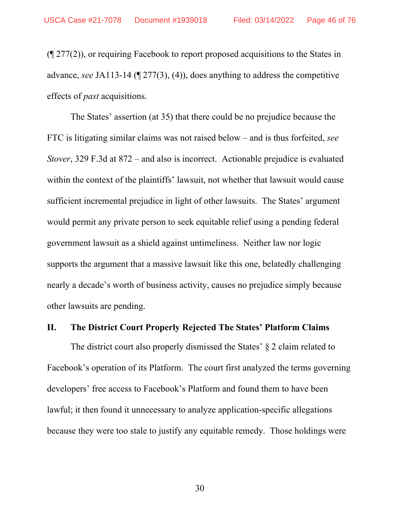(¶ 277(2)), or requiring Facebook to report proposed acquisitions to the States in advance, *see* JA113-14 (¶ 277(3), (4)), does anything to address the competitive effects of *past* acquisitions.

The States' assertion (at 35) that there could be no prejudice because the FTC is litigating similar claims was not raised below – and is thus forfeited, *see Stover*, 329 F.3d at 872 – and also is incorrect. Actionable prejudice is evaluated within the context of the plaintiffs' lawsuit, not whether that lawsuit would cause sufficient incremental prejudice in light of other lawsuits. The States' argument would permit any private person to seek equitable relief using a pending federal government lawsuit as a shield against untimeliness. Neither law nor logic supports the argument that a massive lawsuit like this one, belatedly challenging nearly a decade's worth of business activity, causes no prejudice simply because other lawsuits are pending.

## **II. The District Court Properly Rejected The States' Platform Claims**

The district court also properly dismissed the States' § 2 claim related to Facebook's operation of its Platform. The court first analyzed the terms governing developers' free access to Facebook's Platform and found them to have been lawful; it then found it unnecessary to analyze application-specific allegations because they were too stale to justify any equitable remedy. Those holdings were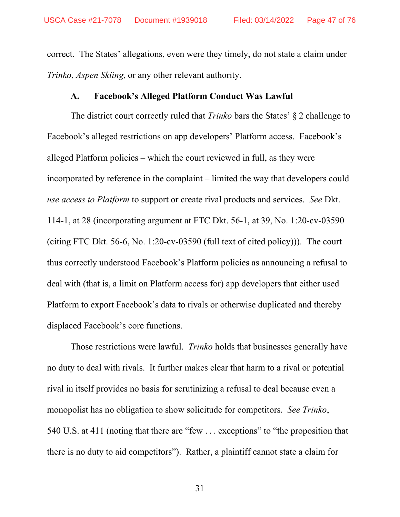correct. The States' allegations, even were they timely, do not state a claim under *Trinko*, *Aspen Skiing*, or any other relevant authority.

#### **A. Facebook's Alleged Platform Conduct Was Lawful**

The district court correctly ruled that *Trinko* bars the States' § 2 challenge to Facebook's alleged restrictions on app developers' Platform access. Facebook's alleged Platform policies – which the court reviewed in full, as they were incorporated by reference in the complaint – limited the way that developers could *use access to Platform* to support or create rival products and services. *See* Dkt. 114-1, at 28 (incorporating argument at FTC Dkt. 56-1, at 39, No. 1:20-cv-03590 (citing FTC Dkt. 56-6, No. 1:20-cv-03590 (full text of cited policy))). The court thus correctly understood Facebook's Platform policies as announcing a refusal to deal with (that is, a limit on Platform access for) app developers that either used Platform to export Facebook's data to rivals or otherwise duplicated and thereby displaced Facebook's core functions.

Those restrictions were lawful. *Trinko* holds that businesses generally have no duty to deal with rivals. It further makes clear that harm to a rival or potential rival in itself provides no basis for scrutinizing a refusal to deal because even a monopolist has no obligation to show solicitude for competitors. *See Trinko*, 540 U.S. at 411 (noting that there are "few . . . exceptions" to "the proposition that there is no duty to aid competitors"). Rather, a plaintiff cannot state a claim for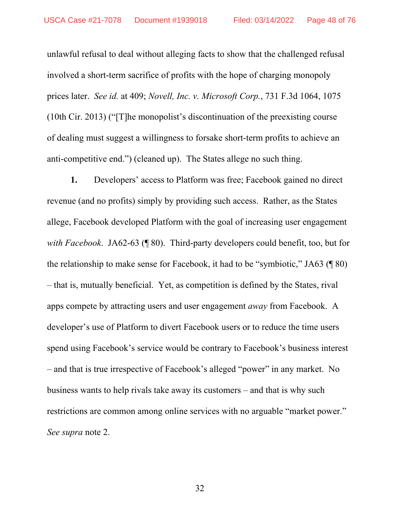unlawful refusal to deal without alleging facts to show that the challenged refusal involved a short-term sacrifice of profits with the hope of charging monopoly prices later. *See id.* at 409; *Novell, Inc. v. Microsoft Corp.*, 731 F.3d 1064, 1075 (10th Cir. 2013) ("[T]he monopolist's discontinuation of the preexisting course of dealing must suggest a willingness to forsake short-term profits to achieve an anti-competitive end.") (cleaned up). The States allege no such thing.

**1.** Developers' access to Platform was free; Facebook gained no direct revenue (and no profits) simply by providing such access. Rather, as the States allege, Facebook developed Platform with the goal of increasing user engagement *with Facebook*. JA62-63 (¶ 80). Third-party developers could benefit, too, but for the relationship to make sense for Facebook, it had to be "symbiotic," JA63 (¶ 80) – that is, mutually beneficial. Yet, as competition is defined by the States, rival apps compete by attracting users and user engagement *away* from Facebook. A developer's use of Platform to divert Facebook users or to reduce the time users spend using Facebook's service would be contrary to Facebook's business interest – and that is true irrespective of Facebook's alleged "power" in any market. No business wants to help rivals take away its customers – and that is why such restrictions are common among online services with no arguable "market power." *See supra* note 2.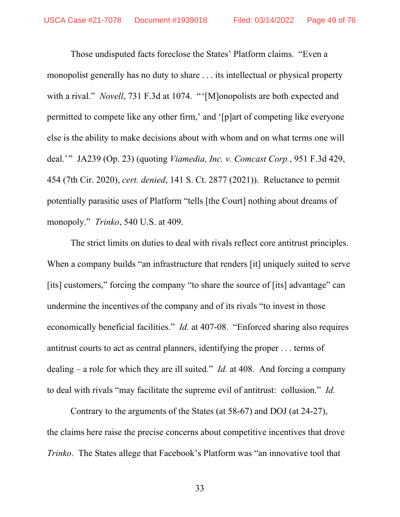Those undisputed facts foreclose the States' Platform claims. "Even a monopolist generally has no duty to share . . . its intellectual or physical property with a rival." *Novell*, 731 F.3d at 1074. "'[M]onopolists are both expected and permitted to compete like any other firm,' and '[p]art of competing like everyone else is the ability to make decisions about with whom and on what terms one will deal.'" JA239 (Op. 23) (quoting *Viamedia, Inc. v. Comcast Corp.*, 951 F.3d 429, 454 (7th Cir. 2020), *cert. denied*, 141 S. Ct. 2877 (2021)). Reluctance to permit potentially parasitic uses of Platform "tells [the Court] nothing about dreams of monopoly." *Trinko*, 540 U.S. at 409.

The strict limits on duties to deal with rivals reflect core antitrust principles. When a company builds "an infrastructure that renders [it] uniquely suited to serve [its] customers," forcing the company "to share the source of [its] advantage" can undermine the incentives of the company and of its rivals "to invest in those economically beneficial facilities." *Id.* at 407-08. "Enforced sharing also requires antitrust courts to act as central planners, identifying the proper . . . terms of dealing – a role for which they are ill suited." *Id.* at 408. And forcing a company to deal with rivals "may facilitate the supreme evil of antitrust: collusion." *Id.*

Contrary to the arguments of the States (at 58-67) and DOJ (at 24-27), the claims here raise the precise concerns about competitive incentives that drove *Trinko*. The States allege that Facebook's Platform was "an innovative tool that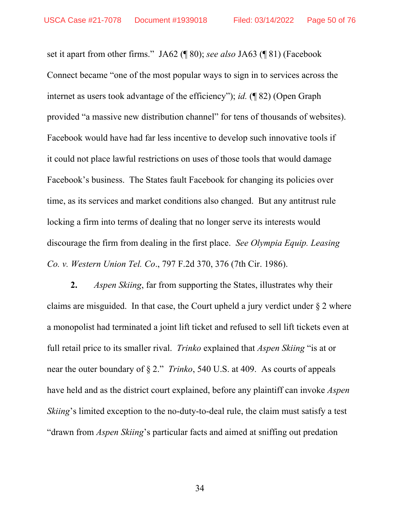set it apart from other firms." JA62 (¶ 80); *see also* JA63 (¶ 81) (Facebook Connect became "one of the most popular ways to sign in to services across the internet as users took advantage of the efficiency"); *id.* (¶ 82) (Open Graph provided "a massive new distribution channel" for tens of thousands of websites). Facebook would have had far less incentive to develop such innovative tools if it could not place lawful restrictions on uses of those tools that would damage Facebook's business. The States fault Facebook for changing its policies over time, as its services and market conditions also changed. But any antitrust rule locking a firm into terms of dealing that no longer serve its interests would discourage the firm from dealing in the first place. *See Olympia Equip. Leasing Co. v. Western Union Tel. Co*., 797 F.2d 370, 376 (7th Cir. 1986).

**2.** *Aspen Skiing*, far from supporting the States, illustrates why their claims are misguided. In that case, the Court upheld a jury verdict under § 2 where a monopolist had terminated a joint lift ticket and refused to sell lift tickets even at full retail price to its smaller rival. *Trinko* explained that *Aspen Skiing* "is at or near the outer boundary of § 2." *Trinko*, 540 U.S. at 409. As courts of appeals have held and as the district court explained, before any plaintiff can invoke *Aspen Skiing*'s limited exception to the no-duty-to-deal rule, the claim must satisfy a test "drawn from *Aspen Skiing*'s particular facts and aimed at sniffing out predation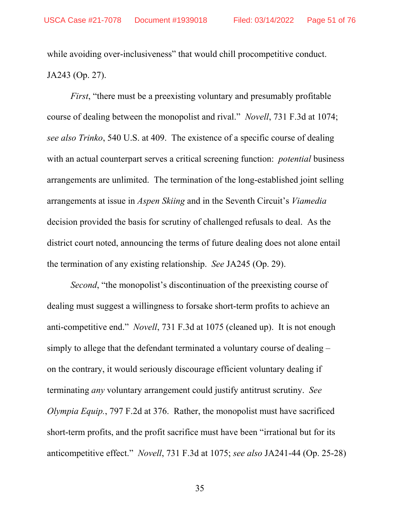while avoiding over-inclusiveness" that would chill procompetitive conduct. JA243 (Op. 27).

*First*, "there must be a preexisting voluntary and presumably profitable course of dealing between the monopolist and rival." *Novell*, 731 F.3d at 1074; *see also Trinko*, 540 U.S. at 409. The existence of a specific course of dealing with an actual counterpart serves a critical screening function: *potential* business arrangements are unlimited. The termination of the long-established joint selling arrangements at issue in *Aspen Skiing* and in the Seventh Circuit's *Viamedia* decision provided the basis for scrutiny of challenged refusals to deal. As the district court noted, announcing the terms of future dealing does not alone entail the termination of any existing relationship. *See* JA245 (Op. 29).

*Second*, "the monopolist's discontinuation of the preexisting course of dealing must suggest a willingness to forsake short-term profits to achieve an anti-competitive end." *Novell*, 731 F.3d at 1075 (cleaned up). It is not enough simply to allege that the defendant terminated a voluntary course of dealing – on the contrary, it would seriously discourage efficient voluntary dealing if terminating *any* voluntary arrangement could justify antitrust scrutiny. *See Olympia Equip.*, 797 F.2d at 376. Rather, the monopolist must have sacrificed short-term profits, and the profit sacrifice must have been "irrational but for its anticompetitive effect." *Novell*, 731 F.3d at 1075; *see also* JA241-44 (Op. 25-28)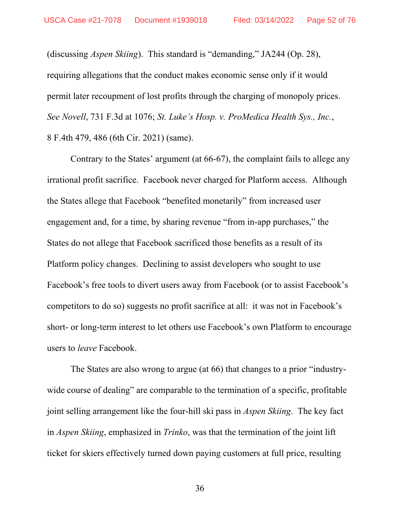(discussing *Aspen Skiing*). This standard is "demanding," JA244 (Op. 28), requiring allegations that the conduct makes economic sense only if it would permit later recoupment of lost profits through the charging of monopoly prices. *See Novell*, 731 F.3d at 1076; *St. Luke's Hosp. v. ProMedica Health Sys., Inc.*, 8 F.4th 479, 486 (6th Cir. 2021) (same).

Contrary to the States' argument (at 66-67), the complaint fails to allege any irrational profit sacrifice. Facebook never charged for Platform access. Although the States allege that Facebook "benefited monetarily" from increased user engagement and, for a time, by sharing revenue "from in-app purchases," the States do not allege that Facebook sacrificed those benefits as a result of its Platform policy changes. Declining to assist developers who sought to use Facebook's free tools to divert users away from Facebook (or to assist Facebook's competitors to do so) suggests no profit sacrifice at all: it was not in Facebook's short- or long-term interest to let others use Facebook's own Platform to encourage users to *leave* Facebook.

The States are also wrong to argue (at 66) that changes to a prior "industrywide course of dealing" are comparable to the termination of a specific, profitable joint selling arrangement like the four-hill ski pass in *Aspen Skiing*.The key fact in *Aspen Skiing*, emphasized in *Trinko*, was that the termination of the joint lift ticket for skiers effectively turned down paying customers at full price, resulting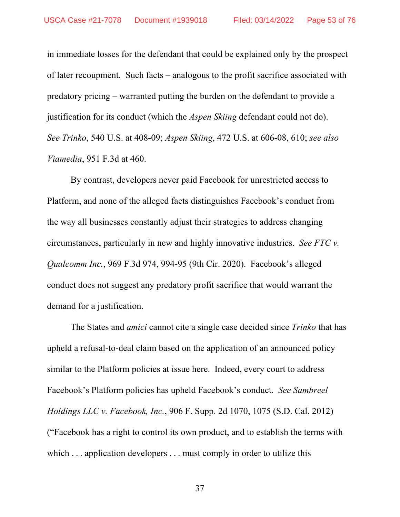in immediate losses for the defendant that could be explained only by the prospect of later recoupment. Such facts – analogous to the profit sacrifice associated with predatory pricing – warranted putting the burden on the defendant to provide a justification for its conduct (which the *Aspen Skiing* defendant could not do). *See Trinko*, 540 U.S. at 408-09; *Aspen Skiing*, 472 U.S. at 606-08, 610; *see also Viamedia*, 951 F.3d at 460.

By contrast, developers never paid Facebook for unrestricted access to Platform, and none of the alleged facts distinguishes Facebook's conduct from the way all businesses constantly adjust their strategies to address changing circumstances, particularly in new and highly innovative industries. *See FTC v. Qualcomm Inc.*, 969 F.3d 974, 994-95 (9th Cir. 2020). Facebook's alleged conduct does not suggest any predatory profit sacrifice that would warrant the demand for a justification.

The States and *amici* cannot cite a single case decided since *Trinko* that has upheld a refusal-to-deal claim based on the application of an announced policy similar to the Platform policies at issue here. Indeed, every court to address Facebook's Platform policies has upheld Facebook's conduct. *See Sambreel Holdings LLC v. Facebook, Inc.*, 906 F. Supp. 2d 1070, 1075 (S.D. Cal. 2012) ("Facebook has a right to control its own product, and to establish the terms with which . . . application developers . . . must comply in order to utilize this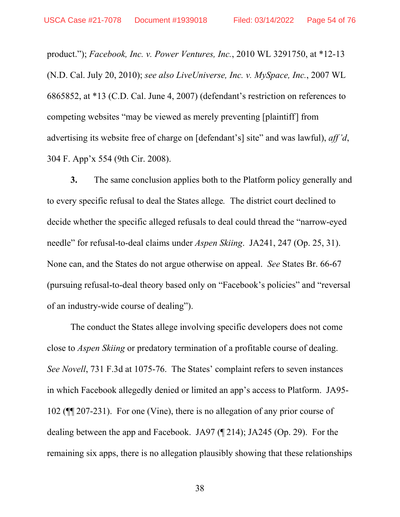product."); *Facebook, Inc. v. Power Ventures, Inc.*, 2010 WL 3291750, at \*12-13 (N.D. Cal. July 20, 2010); *see also LiveUniverse, Inc. v. MySpace, Inc.*, 2007 WL 6865852, at \*13 (C.D. Cal. June 4, 2007) (defendant's restriction on references to competing websites "may be viewed as merely preventing [plaintiff] from advertising its website free of charge on [defendant's] site" and was lawful), *aff'd*, 304 F. App'x 554 (9th Cir. 2008).

**3.** The same conclusion applies both to the Platform policy generally and to every specific refusal to deal the States allege*.* The district court declined to decide whether the specific alleged refusals to deal could thread the "narrow-eyed needle" for refusal-to-deal claims under *Aspen Skiing*. JA241, 247 (Op. 25, 31). None can, and the States do not argue otherwise on appeal. *See* States Br. 66-67 (pursuing refusal-to-deal theory based only on "Facebook's policies" and "reversal of an industry-wide course of dealing").

 The conduct the States allege involving specific developers does not come close to *Aspen Skiing* or predatory termination of a profitable course of dealing. *See Novell*, 731 F.3d at 1075-76. The States' complaint refers to seven instances in which Facebook allegedly denied or limited an app's access to Platform. JA95- 102 (¶¶ 207-231). For one (Vine), there is no allegation of any prior course of dealing between the app and Facebook. JA97 (¶ 214); JA245 (Op. 29). For the remaining six apps, there is no allegation plausibly showing that these relationships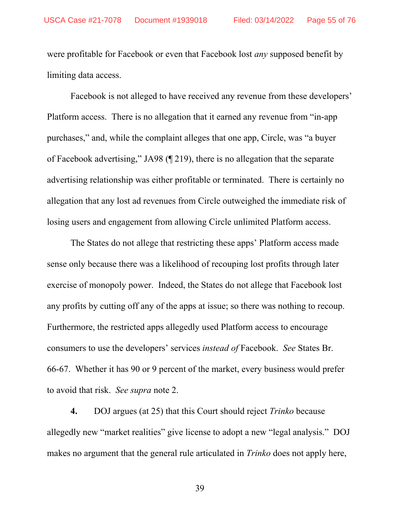were profitable for Facebook or even that Facebook lost *any* supposed benefit by limiting data access.

Facebook is not alleged to have received any revenue from these developers' Platform access. There is no allegation that it earned any revenue from "in-app purchases," and, while the complaint alleges that one app, Circle, was "a buyer of Facebook advertising," JA98 (¶ 219), there is no allegation that the separate advertising relationship was either profitable or terminated. There is certainly no allegation that any lost ad revenues from Circle outweighed the immediate risk of losing users and engagement from allowing Circle unlimited Platform access.

The States do not allege that restricting these apps' Platform access made sense only because there was a likelihood of recouping lost profits through later exercise of monopoly power. Indeed, the States do not allege that Facebook lost any profits by cutting off any of the apps at issue; so there was nothing to recoup. Furthermore, the restricted apps allegedly used Platform access to encourage consumers to use the developers' services *instead of* Facebook. *See* States Br. 66-67. Whether it has 90 or 9 percent of the market, every business would prefer to avoid that risk. *See supra* note 2.

**4.** DOJ argues (at 25) that this Court should reject *Trinko* because allegedly new "market realities" give license to adopt a new "legal analysis." DOJ makes no argument that the general rule articulated in *Trinko* does not apply here,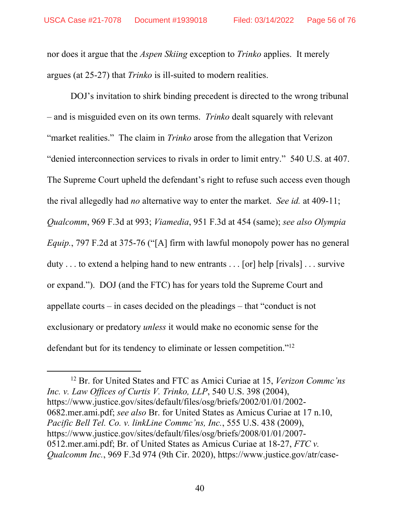nor does it argue that the *Aspen Skiing* exception to *Trinko* applies. It merely argues (at 25-27) that *Trinko* is ill-suited to modern realities.

DOJ's invitation to shirk binding precedent is directed to the wrong tribunal – and is misguided even on its own terms. *Trinko* dealt squarely with relevant "market realities." The claim in *Trinko* arose from the allegation that Verizon "denied interconnection services to rivals in order to limit entry." 540 U.S. at 407. The Supreme Court upheld the defendant's right to refuse such access even though the rival allegedly had *no* alternative way to enter the market. *See id.* at 409-11; *Qualcomm*, 969 F.3d at 993; *Viamedia*, 951 F.3d at 454 (same); *see also Olympia Equip.*, 797 F.2d at 375-76 ("[A] firm with lawful monopoly power has no general duty . . . to extend a helping hand to new entrants . . . [or] help [rivals] . . . survive or expand."). DOJ (and the FTC) has for years told the Supreme Court and appellate courts – in cases decided on the pleadings – that "conduct is not exclusionary or predatory *unless* it would make no economic sense for the defendant but for its tendency to eliminate or lessen competition."12

 <sup>12</sup> Br. for United States and FTC as Amici Curiae at 15, *Verizon Commc'ns Inc. v. Law Offices of Curtis V. Trinko, LLP*, 540 U.S. 398 (2004), https://www.justice.gov/sites/default/files/osg/briefs/2002/01/01/2002- 0682.mer.ami.pdf; *see also* Br. for United States as Amicus Curiae at 17 n.10, *Pacific Bell Tel. Co. v. linkLine Commc'ns, Inc.*, 555 U.S. 438 (2009), https://www.justice.gov/sites/default/files/osg/briefs/2008/01/01/2007- 0512.mer.ami.pdf; Br. of United States as Amicus Curiae at 18-27, *FTC v. Qualcomm Inc.*, 969 F.3d 974 (9th Cir. 2020), https://www.justice.gov/atr/case-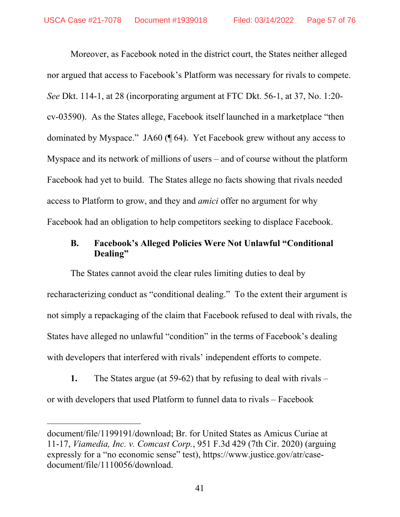Moreover, as Facebook noted in the district court, the States neither alleged nor argued that access to Facebook's Platform was necessary for rivals to compete. *See* Dkt. 114-1, at 28 (incorporating argument at FTC Dkt. 56-1, at 37, No. 1:20 cv-03590). As the States allege, Facebook itself launched in a marketplace "then dominated by Myspace." JA60 (¶ 64). Yet Facebook grew without any access to Myspace and its network of millions of users – and of course without the platform Facebook had yet to build. The States allege no facts showing that rivals needed access to Platform to grow, and they and *amici* offer no argument for why Facebook had an obligation to help competitors seeking to displace Facebook.

## **B. Facebook's Alleged Policies Were Not Unlawful "Conditional Dealing"**

The States cannot avoid the clear rules limiting duties to deal by recharacterizing conduct as "conditional dealing." To the extent their argument is not simply a repackaging of the claim that Facebook refused to deal with rivals, the States have alleged no unlawful "condition" in the terms of Facebook's dealing with developers that interfered with rivals' independent efforts to compete.

**1.** The States argue (at 59-62) that by refusing to deal with rivals – or with developers that used Platform to funnel data to rivals – Facebook

 $\overline{a}$ 

document/file/1199191/download; Br. for United States as Amicus Curiae at 11-17, *Viamedia, Inc. v. Comcast Corp.*, 951 F.3d 429 (7th Cir. 2020) (arguing expressly for a "no economic sense" test), https://www.justice.gov/atr/casedocument/file/1110056/download.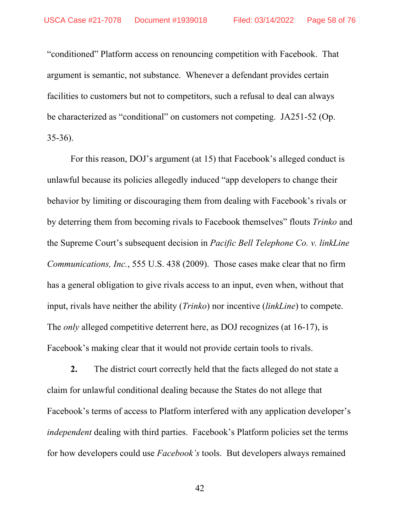"conditioned" Platform access on renouncing competition with Facebook. That argument is semantic, not substance. Whenever a defendant provides certain facilities to customers but not to competitors, such a refusal to deal can always be characterized as "conditional" on customers not competing. JA251-52 (Op. 35-36).

For this reason, DOJ's argument (at 15) that Facebook's alleged conduct is unlawful because its policies allegedly induced "app developers to change their behavior by limiting or discouraging them from dealing with Facebook's rivals or by deterring them from becoming rivals to Facebook themselves" flouts *Trinko* and the Supreme Court's subsequent decision in *Pacific Bell Telephone Co. v. linkLine Communications, Inc.*, 555 U.S. 438 (2009). Those cases make clear that no firm has a general obligation to give rivals access to an input, even when, without that input, rivals have neither the ability (*Trinko*) nor incentive (*linkLine*) to compete. The *only* alleged competitive deterrent here, as DOJ recognizes (at 16-17), is Facebook's making clear that it would not provide certain tools to rivals.

**2.** The district court correctly held that the facts alleged do not state a claim for unlawful conditional dealing because the States do not allege that Facebook's terms of access to Platform interfered with any application developer's *independent* dealing with third parties. Facebook's Platform policies set the terms for how developers could use *Facebook's* tools. But developers always remained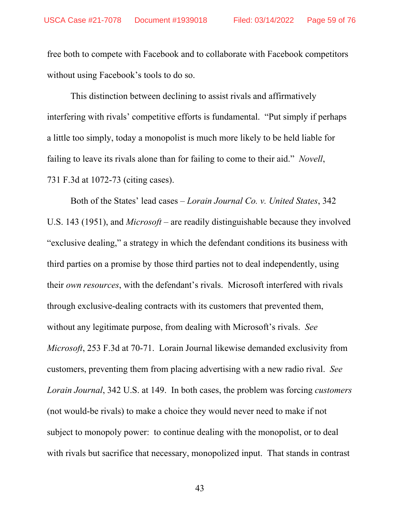free both to compete with Facebook and to collaborate with Facebook competitors without using Facebook's tools to do so.

This distinction between declining to assist rivals and affirmatively interfering with rivals' competitive efforts is fundamental. "Put simply if perhaps a little too simply, today a monopolist is much more likely to be held liable for failing to leave its rivals alone than for failing to come to their aid." *Novell*, 731 F.3d at 1072-73 (citing cases).

Both of the States' lead cases – *Lorain Journal Co. v. United States*, 342 U.S. 143 (1951), and *Microsoft* – are readily distinguishable because they involved "exclusive dealing," a strategy in which the defendant conditions its business with third parties on a promise by those third parties not to deal independently, using their *own resources*, with the defendant's rivals. Microsoft interfered with rivals through exclusive-dealing contracts with its customers that prevented them, without any legitimate purpose, from dealing with Microsoft's rivals. *See Microsoft*, 253 F.3d at 70-71.Lorain Journal likewise demanded exclusivity from customers, preventing them from placing advertising with a new radio rival. *See Lorain Journal*, 342 U.S. at 149. In both cases, the problem was forcing *customers* (not would-be rivals) to make a choice they would never need to make if not subject to monopoly power: to continue dealing with the monopolist, or to deal with rivals but sacrifice that necessary, monopolized input. That stands in contrast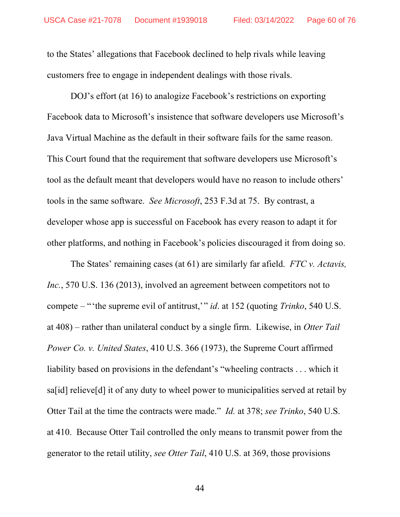to the States' allegations that Facebook declined to help rivals while leaving customers free to engage in independent dealings with those rivals.

DOJ's effort (at 16) to analogize Facebook's restrictions on exporting Facebook data to Microsoft's insistence that software developers use Microsoft's Java Virtual Machine as the default in their software fails for the same reason. This Court found that the requirement that software developers use Microsoft's tool as the default meant that developers would have no reason to include others' tools in the same software. *See Microsoft*, 253 F.3d at 75. By contrast, a developer whose app is successful on Facebook has every reason to adapt it for other platforms, and nothing in Facebook's policies discouraged it from doing so.

The States' remaining cases (at 61) are similarly far afield. *FTC v. Actavis, Inc.*, 570 U.S. 136 (2013), involved an agreement between competitors not to compete – "'the supreme evil of antitrust,'" *id*. at 152 (quoting *Trinko*, 540 U.S. at 408) – rather than unilateral conduct by a single firm. Likewise, in *Otter Tail Power Co. v. United States*, 410 U.S. 366 (1973), the Supreme Court affirmed liability based on provisions in the defendant's "wheeling contracts . . . which it sa[id] relieve[d] it of any duty to wheel power to municipalities served at retail by Otter Tail at the time the contracts were made." *Id.* at 378; *see Trinko*, 540 U.S. at 410. Because Otter Tail controlled the only means to transmit power from the generator to the retail utility, *see Otter Tail*, 410 U.S. at 369, those provisions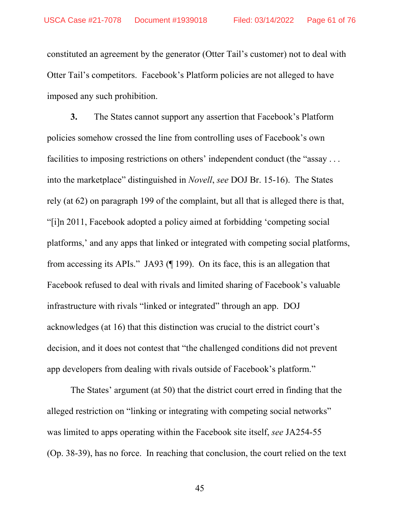constituted an agreement by the generator (Otter Tail's customer) not to deal with Otter Tail's competitors. Facebook's Platform policies are not alleged to have imposed any such prohibition.

**3.** The States cannot support any assertion that Facebook's Platform policies somehow crossed the line from controlling uses of Facebook's own facilities to imposing restrictions on others' independent conduct (the "assay . . . into the marketplace" distinguished in *Novell*, *see* DOJ Br. 15-16). The States rely (at 62) on paragraph 199 of the complaint, but all that is alleged there is that, "[i]n 2011, Facebook adopted a policy aimed at forbidding 'competing social platforms,' and any apps that linked or integrated with competing social platforms, from accessing its APIs." JA93 (¶ 199). On its face, this is an allegation that Facebook refused to deal with rivals and limited sharing of Facebook's valuable infrastructure with rivals "linked or integrated" through an app. DOJ acknowledges (at 16) that this distinction was crucial to the district court's decision, and it does not contest that "the challenged conditions did not prevent app developers from dealing with rivals outside of Facebook's platform."

The States' argument (at 50) that the district court erred in finding that the alleged restriction on "linking or integrating with competing social networks" was limited to apps operating within the Facebook site itself, *see* JA254-55 (Op. 38-39), has no force. In reaching that conclusion, the court relied on the text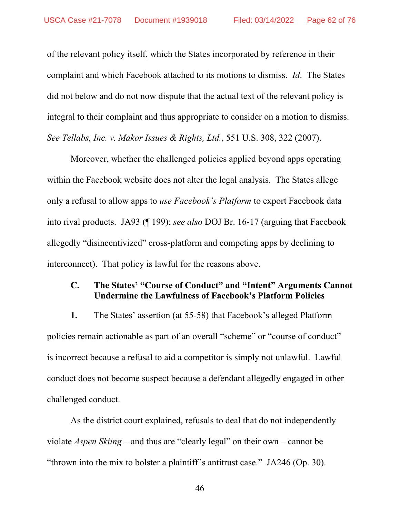of the relevant policy itself, which the States incorporated by reference in their complaint and which Facebook attached to its motions to dismiss. *Id*. The States did not below and do not now dispute that the actual text of the relevant policy is integral to their complaint and thus appropriate to consider on a motion to dismiss. *See Tellabs, Inc. v. Makor Issues & Rights, Ltd.*, 551 U.S. 308, 322 (2007).

Moreover, whether the challenged policies applied beyond apps operating within the Facebook website does not alter the legal analysis. The States allege only a refusal to allow apps to *use Facebook's Platform* to export Facebook data into rival products. JA93 (¶ 199); *see also* DOJ Br. 16-17 (arguing that Facebook allegedly "disincentivized" cross-platform and competing apps by declining to interconnect). That policy is lawful for the reasons above.

## **C. The States' "Course of Conduct" and "Intent" Arguments Cannot Undermine the Lawfulness of Facebook's Platform Policies**

**1.** The States' assertion (at 55-58) that Facebook's alleged Platform policies remain actionable as part of an overall "scheme" or "course of conduct" is incorrect because a refusal to aid a competitor is simply not unlawful. Lawful conduct does not become suspect because a defendant allegedly engaged in other challenged conduct.

As the district court explained, refusals to deal that do not independently violate *Aspen Skiing* – and thus are "clearly legal" on their own – cannot be "thrown into the mix to bolster a plaintiff's antitrust case." JA246 (Op. 30).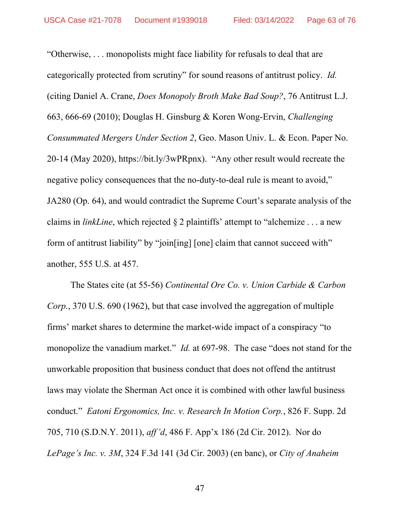"Otherwise, . . . monopolists might face liability for refusals to deal that are categorically protected from scrutiny" for sound reasons of antitrust policy. *Id.*  (citing Daniel A. Crane, *Does Monopoly Broth Make Bad Soup?*, 76 Antitrust L.J. 663, 666-69 (2010); Douglas H. Ginsburg & Koren Wong-Ervin, *Challenging Consummated Mergers Under Section 2*, Geo. Mason Univ. L. & Econ. Paper No. 20-14 (May 2020), https://bit.ly/3wPRpnx). "Any other result would recreate the negative policy consequences that the no-duty-to-deal rule is meant to avoid," JA280 (Op. 64), and would contradict the Supreme Court's separate analysis of the claims in *linkLine*, which rejected § 2 plaintiffs' attempt to "alchemize . . . a new form of antitrust liability" by "join[ing] [one] claim that cannot succeed with" another, 555 U.S. at 457.

The States cite (at 55-56) *Continental Ore Co. v. Union Carbide & Carbon Corp.*, 370 U.S. 690 (1962), but that case involved the aggregation of multiple firms' market shares to determine the market-wide impact of a conspiracy "to monopolize the vanadium market." *Id.* at 697-98. The case "does not stand for the unworkable proposition that business conduct that does not offend the antitrust laws may violate the Sherman Act once it is combined with other lawful business conduct." *Eatoni Ergonomics, Inc. v. Research In Motion Corp.*, 826 F. Supp. 2d 705, 710 (S.D.N.Y. 2011), *aff'd*, 486 F. App'x 186 (2d Cir. 2012). Nor do *LePage's Inc. v. 3M*, 324 F.3d 141 (3d Cir. 2003) (en banc), or *City of Anaheim*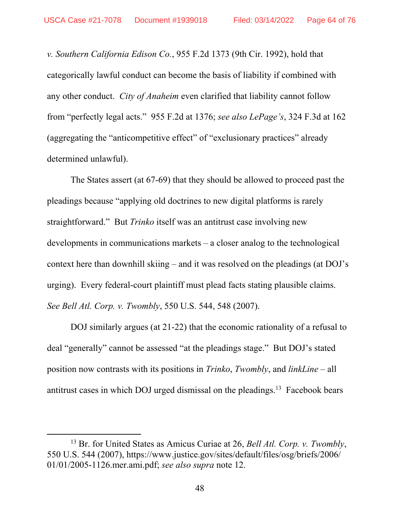*v. Southern California Edison Co.*, 955 F.2d 1373 (9th Cir. 1992), hold that categorically lawful conduct can become the basis of liability if combined with any other conduct. *City of Anaheim* even clarified that liability cannot follow from "perfectly legal acts." 955 F.2d at 1376; *see also LePage's*, 324 F.3d at 162 (aggregating the "anticompetitive effect" of "exclusionary practices" already determined unlawful).

The States assert (at 67-69) that they should be allowed to proceed past the pleadings because "applying old doctrines to new digital platforms is rarely straightforward." But *Trinko* itself was an antitrust case involving new developments in communications markets – a closer analog to the technological context here than downhill skiing – and it was resolved on the pleadings (at DOJ's urging). Every federal-court plaintiff must plead facts stating plausible claims. *See Bell Atl. Corp. v. Twombly*, 550 U.S. 544, 548 (2007).

DOJ similarly argues (at 21-22) that the economic rationality of a refusal to deal "generally" cannot be assessed "at the pleadings stage." But DOJ's stated position now contrasts with its positions in *Trinko*, *Twombly*, and *linkLine* – all antitrust cases in which DOJ urged dismissal on the pleadings.13 Facebook bears

 <sup>13</sup> Br. for United States as Amicus Curiae at 26, *Bell Atl. Corp. v. Twombly*, 550 U.S. 544 (2007), https://www.justice.gov/sites/default/files/osg/briefs/2006/ 01/01/2005-1126.mer.ami.pdf; *see also supra* note 12.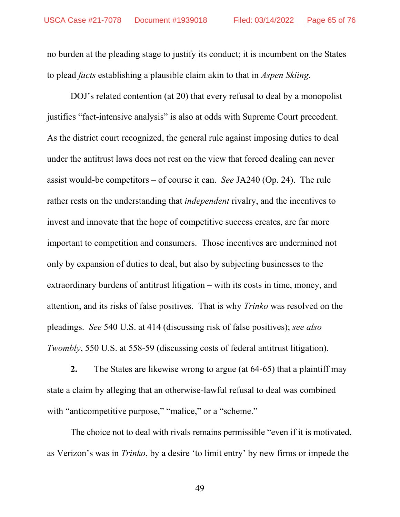no burden at the pleading stage to justify its conduct; it is incumbent on the States to plead *facts* establishing a plausible claim akin to that in *Aspen Skiing*.

DOJ's related contention (at 20) that every refusal to deal by a monopolist justifies "fact-intensive analysis" is also at odds with Supreme Court precedent. As the district court recognized, the general rule against imposing duties to deal under the antitrust laws does not rest on the view that forced dealing can never assist would-be competitors – of course it can. *See* JA240 (Op. 24). The rule rather rests on the understanding that *independent* rivalry, and the incentives to invest and innovate that the hope of competitive success creates, are far more important to competition and consumers. Those incentives are undermined not only by expansion of duties to deal, but also by subjecting businesses to the extraordinary burdens of antitrust litigation – with its costs in time, money, and attention, and its risks of false positives. That is why *Trinko* was resolved on the pleadings. *See* 540 U.S. at 414 (discussing risk of false positives); *see also Twombly*, 550 U.S. at 558-59 (discussing costs of federal antitrust litigation).

**2.** The States are likewise wrong to argue (at 64-65) that a plaintiff may state a claim by alleging that an otherwise-lawful refusal to deal was combined with "anticompetitive purpose," "malice," or a "scheme."

The choice not to deal with rivals remains permissible "even if it is motivated, as Verizon's was in *Trinko*, by a desire 'to limit entry' by new firms or impede the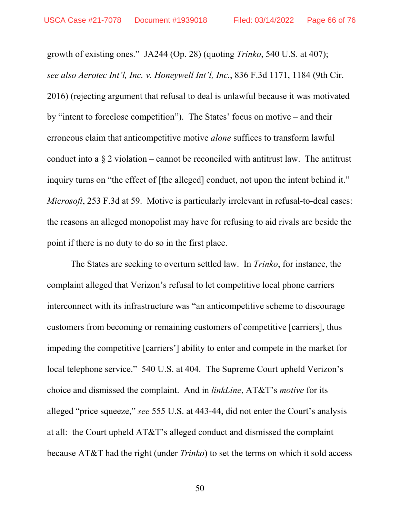growth of existing ones." JA244 (Op. 28) (quoting *Trinko*, 540 U.S. at 407); *see also Aerotec Int'l, Inc. v. Honeywell Int'l, Inc.*, 836 F.3d 1171, 1184 (9th Cir. 2016) (rejecting argument that refusal to deal is unlawful because it was motivated by "intent to foreclose competition"). The States' focus on motive – and their erroneous claim that anticompetitive motive *alone* suffices to transform lawful conduct into a  $\S 2$  violation – cannot be reconciled with antitrust law. The antitrust inquiry turns on "the effect of [the alleged] conduct, not upon the intent behind it." *Microsoft*, 253 F.3d at 59. Motive is particularly irrelevant in refusal-to-deal cases: the reasons an alleged monopolist may have for refusing to aid rivals are beside the point if there is no duty to do so in the first place.

The States are seeking to overturn settled law. In *Trinko*, for instance, the complaint alleged that Verizon's refusal to let competitive local phone carriers interconnect with its infrastructure was "an anticompetitive scheme to discourage customers from becoming or remaining customers of competitive [carriers], thus impeding the competitive [carriers'] ability to enter and compete in the market for local telephone service." 540 U.S. at 404. The Supreme Court upheld Verizon's choice and dismissed the complaint. And in *linkLine*, AT&T's *motive* for its alleged "price squeeze," *see* 555 U.S. at 443-44, did not enter the Court's analysis at all: the Court upheld AT&T's alleged conduct and dismissed the complaint because AT&T had the right (under *Trinko*) to set the terms on which it sold access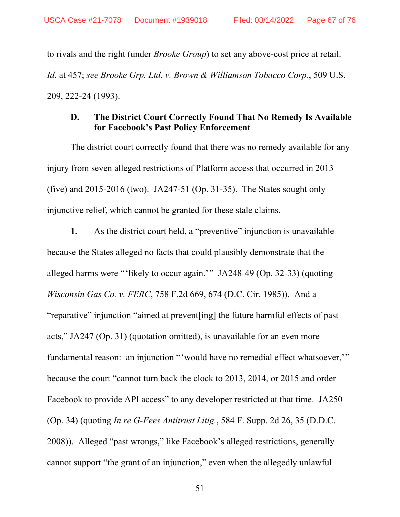to rivals and the right (under *Brooke Group*) to set any above-cost price at retail. *Id.* at 457; *see Brooke Grp. Ltd. v. Brown & Williamson Tobacco Corp.*, 509 U.S. 209, 222-24 (1993).

## **D. The District Court Correctly Found That No Remedy Is Available for Facebook's Past Policy Enforcement**

The district court correctly found that there was no remedy available for any injury from seven alleged restrictions of Platform access that occurred in 2013 (five) and 2015-2016 (two). JA247-51 (Op. 31-35). The States sought only injunctive relief, which cannot be granted for these stale claims.

**1.** As the district court held, a "preventive" injunction is unavailable because the States alleged no facts that could plausibly demonstrate that the alleged harms were "'likely to occur again.'" JA248-49 (Op. 32-33) (quoting *Wisconsin Gas Co. v. FERC*, 758 F.2d 669, 674 (D.C. Cir. 1985)). And a "reparative" injunction "aimed at prevent[ing] the future harmful effects of past acts," JA247 (Op. 31) (quotation omitted), is unavailable for an even more fundamental reason: an injunction "'would have no remedial effect whatsoever," because the court "cannot turn back the clock to 2013, 2014, or 2015 and order Facebook to provide API access" to any developer restricted at that time. JA250 (Op. 34) (quoting *In re G-Fees Antitrust Litig.*, 584 F. Supp. 2d 26, 35 (D.D.C. 2008)). Alleged "past wrongs," like Facebook's alleged restrictions, generally cannot support "the grant of an injunction," even when the allegedly unlawful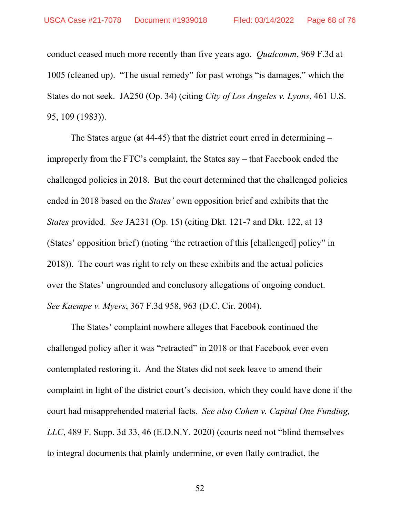conduct ceased much more recently than five years ago. *Qualcomm*, 969 F.3d at 1005 (cleaned up). "The usual remedy" for past wrongs "is damages," which the States do not seek. JA250 (Op. 34) (citing *City of Los Angeles v. Lyons*, 461 U.S. 95, 109 (1983)).

The States argue (at 44-45) that the district court erred in determining – improperly from the FTC's complaint, the States say – that Facebook ended the challenged policies in 2018. But the court determined that the challenged policies ended in 2018 based on the *States'* own opposition brief and exhibits that the *States* provided. *See* JA231 (Op. 15) (citing Dkt. 121-7 and Dkt. 122, at 13 (States' opposition brief) (noting "the retraction of this [challenged] policy" in 2018)). The court was right to rely on these exhibits and the actual policies over the States' ungrounded and conclusory allegations of ongoing conduct. *See Kaempe v. Myers*, 367 F.3d 958, 963 (D.C. Cir. 2004).

The States' complaint nowhere alleges that Facebook continued the challenged policy after it was "retracted" in 2018 or that Facebook ever even contemplated restoring it. And the States did not seek leave to amend their complaint in light of the district court's decision, which they could have done if the court had misapprehended material facts. *See also Cohen v. Capital One Funding, LLC*, 489 F. Supp. 3d 33, 46 (E.D.N.Y. 2020) (courts need not "blind themselves to integral documents that plainly undermine, or even flatly contradict, the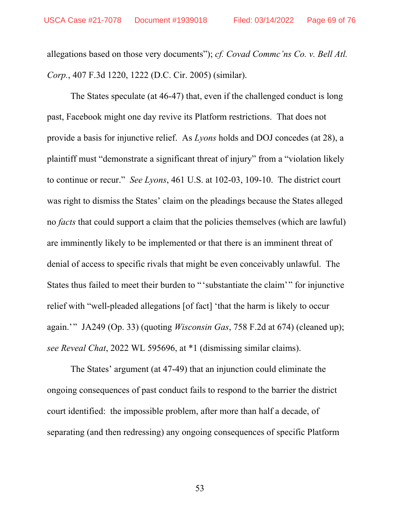allegations based on those very documents"); *cf. Covad Commc'ns Co. v. Bell Atl. Corp.*, 407 F.3d 1220, 1222 (D.C. Cir. 2005) (similar).

The States speculate (at 46-47) that, even if the challenged conduct is long past, Facebook might one day revive its Platform restrictions. That does not provide a basis for injunctive relief. As *Lyons* holds and DOJ concedes (at 28), a plaintiff must "demonstrate a significant threat of injury" from a "violation likely to continue or recur." *See Lyons*, 461 U.S. at 102-03, 109-10. The district court was right to dismiss the States' claim on the pleadings because the States alleged no *facts* that could support a claim that the policies themselves (which are lawful) are imminently likely to be implemented or that there is an imminent threat of denial of access to specific rivals that might be even conceivably unlawful. The States thus failed to meet their burden to "'substantiate the claim'" for injunctive relief with "well-pleaded allegations [of fact] 'that the harm is likely to occur again.'" JA249 (Op. 33) (quoting *Wisconsin Gas*, 758 F.2d at 674) (cleaned up); *see Reveal Chat*, 2022 WL 595696, at \*1 (dismissing similar claims).

The States' argument (at 47-49) that an injunction could eliminate the ongoing consequences of past conduct fails to respond to the barrier the district court identified: the impossible problem, after more than half a decade, of separating (and then redressing) any ongoing consequences of specific Platform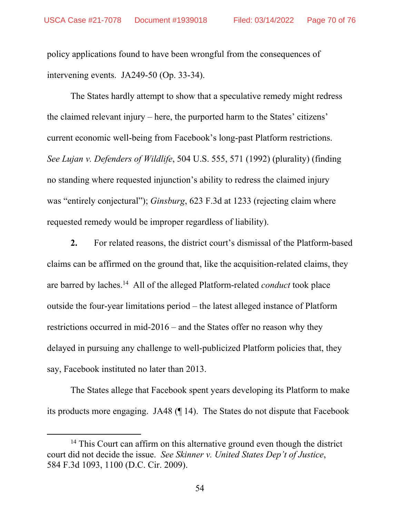policy applications found to have been wrongful from the consequences of intervening events. JA249-50 (Op. 33-34).

The States hardly attempt to show that a speculative remedy might redress the claimed relevant injury – here, the purported harm to the States' citizens' current economic well-being from Facebook's long-past Platform restrictions. *See Lujan v. Defenders of Wildlife*, 504 U.S. 555, 571 (1992) (plurality) (finding no standing where requested injunction's ability to redress the claimed injury was "entirely conjectural"); *Ginsburg*, 623 F.3d at 1233 (rejecting claim where requested remedy would be improper regardless of liability).

**2.** For related reasons, the district court's dismissal of the Platform-based claims can be affirmed on the ground that, like the acquisition-related claims, they are barred by laches.14 All of the alleged Platform-related *conduct* took place outside the four-year limitations period – the latest alleged instance of Platform restrictions occurred in mid-2016 – and the States offer no reason why they delayed in pursuing any challenge to well-publicized Platform policies that, they say, Facebook instituted no later than 2013.

The States allege that Facebook spent years developing its Platform to make its products more engaging. JA48 (¶ 14). The States do not dispute that Facebook

<sup>&</sup>lt;sup>14</sup> This Court can affirm on this alternative ground even though the district court did not decide the issue. *See Skinner v. United States Dep't of Justice*, 584 F.3d 1093, 1100 (D.C. Cir. 2009).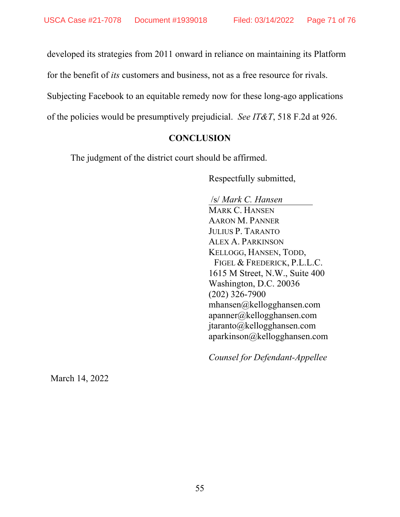developed its strategies from 2011 onward in reliance on maintaining its Platform

for the benefit of *its* customers and business, not as a free resource for rivals.

Subjecting Facebook to an equitable remedy now for these long-ago applications

of the policies would be presumptively prejudicial. *See IT&T*, 518 F.2d at 926.

# **CONCLUSION**

The judgment of the district court should be affirmed.

Respectfully submitted,

 /s/ *Mark C. Hansen* MARK C. HANSEN AARON M. PANNER JULIUS P. TARANTO ALEX A. PARKINSON KELLOGG, HANSEN, TODD, FIGEL & FREDERICK, P.L.L.C. 1615 M Street, N.W., Suite 400 Washington, D.C. 20036 (202) 326-7900 mhansen@kellogghansen.com apanner@kellogghansen.com jtaranto@kellogghansen.com aparkinson@kellogghansen.com

*Counsel for Defendant-Appellee* 

March 14, 2022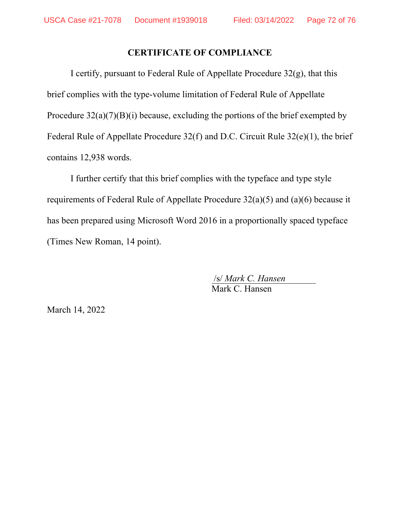#### **CERTIFICATE OF COMPLIANCE**

I certify, pursuant to Federal Rule of Appellate Procedure  $32(g)$ , that this brief complies with the type-volume limitation of Federal Rule of Appellate Procedure  $32(a)(7)(B)(i)$  because, excluding the portions of the brief exempted by Federal Rule of Appellate Procedure 32(f) and D.C. Circuit Rule 32(e)(1), the brief contains 12,938 words.

I further certify that this brief complies with the typeface and type style requirements of Federal Rule of Appellate Procedure 32(a)(5) and (a)(6) because it has been prepared using Microsoft Word 2016 in a proportionally spaced typeface (Times New Roman, 14 point).

/s/ *Mark C. Hansen* 

Mark C. Hansen

March 14, 2022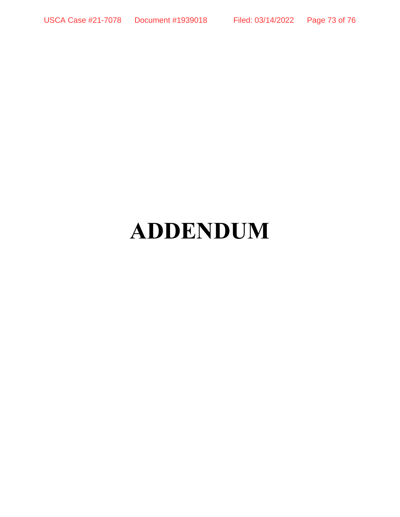# **ADDENDUM**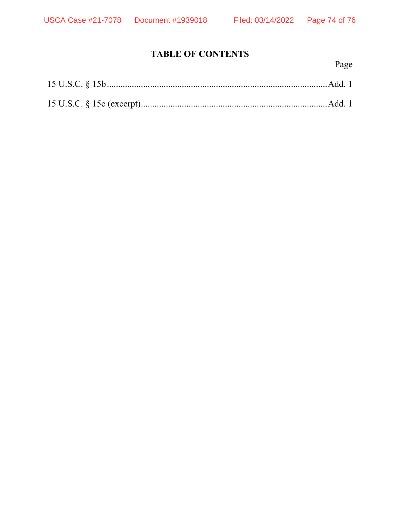# **TABLE OF CONTENTS**

Page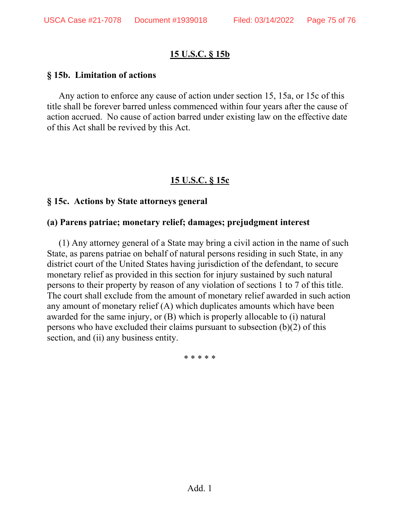## **15 U.S.C. § 15b**

#### **§ 15b. Limitation of actions**

Any action to enforce any cause of action under section 15, 15a, or 15c of this title shall be forever barred unless commenced within four years after the cause of action accrued. No cause of action barred under existing law on the effective date of this Act shall be revived by this Act.

## **15 U.S.C. § 15c**

### **§ 15c. Actions by State attorneys general**

### **(a) Parens patriae; monetary relief; damages; prejudgment interest**

(1) Any attorney general of a State may bring a civil action in the name of such State, as parens patriae on behalf of natural persons residing in such State, in any district court of the United States having jurisdiction of the defendant, to secure monetary relief as provided in this section for injury sustained by such natural persons to their property by reason of any violation of sections 1 to 7 of this title. The court shall exclude from the amount of monetary relief awarded in such action any amount of monetary relief (A) which duplicates amounts which have been awarded for the same injury, or (B) which is properly allocable to (i) natural persons who have excluded their claims pursuant to subsection (b)(2) of this section, and (ii) any business entity.

\* \* \* \* \*